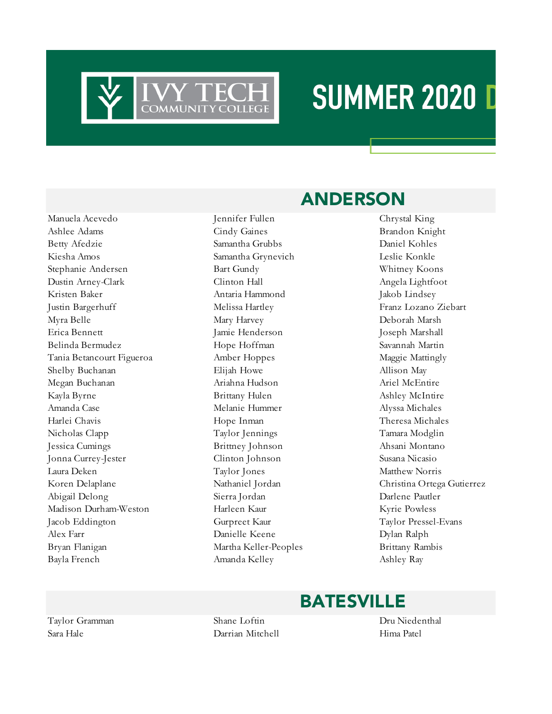

### **SUMMER 2020 D**

Manuela Acevedo Jennifer Fullen Chrystal King Ashlee Adams **Cindy Gaines** Cindy Gaines Brandon Knight Betty Afedzie Samantha Grubbs Daniel Kohles Kiesha Amos Samantha Grynevich Leslie Konkle Stephanie Andersen Bart Gundy Whitney Koons Dustin Arney-Clark Clinton Hall Angela Lightfoot Kristen Baker Antaria Hammond Makob Lindsey Justin Bargerhuff Melissa Hartley Franz Lozano Ziebart Myra Belle Mary Harvey Deborah Marsh Erica Bennett Jamie Henderson Joseph Marshall Belinda Bermudez Hope Hoffman Savannah Martin Tania Betancourt Figueroa Amber Hoppes Maggie Mattingly Shelby Buchanan **Elijah Howe** Allison May Megan Buchanan Ariahna Hudson Ariel McEntire Kayla Byrne Brittany Hulen Ashley McIntire Amanda Case **Melanie Hummer** Alyssa Michales Harlei Chavis Hope Inman Theresa Michales Nicholas Clapp Taylor Jennings Tamara Modglin Jessica Cumings Brittney Johnson Ahsani Montano Jonna Currey-Jester Clinton Johnson Susana Nicasio Laura Deken Taylor Jones Matthew Norris Abigail Delong Sierra Jordan Darlene Pautler Madison Durham-Weston Harleen Kaur Kyrie Powless Jacob Eddington Gurpreet Kaur Taylor Pressel-Evans Alex Farr Danielle Keene Dylan Ralph Bryan Flanigan Martha Keller-Peoples Brittany Rambis Bayla French Amanda Kelley Ashley Ray

#### ANDERSON

Koren Delaplane Nathaniel Jordan Christina Ortega Gutierrez

#### BATESVILLE

Taylor Gramman Shane Loftin Dru Niedenthal Sara Hale Darrian Mitchell Hima Patel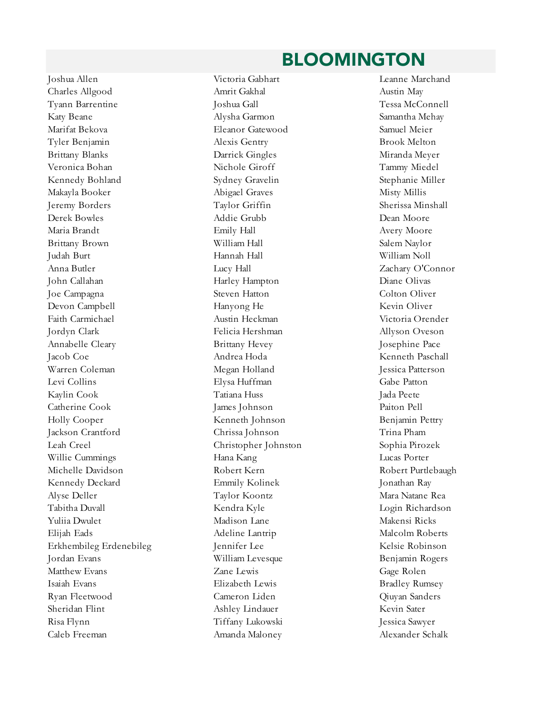#### BLOOMINGTON

Joshua Allen Victoria Gabhart Leanne Marchand Charles Allgood Amrit Gakhal Austin May Tyann Barrentine Joshua Gall Tessa McConnell Katy Beane **Alysha Garmon** Samantha Mehay Marifat Bekova Eleanor Gatewood Samuel Meier Tyler Benjamin Alexis Gentry Alexis Gentry Brook Melton Brittany Blanks Darrick Gingles Miranda Meyer Veronica Bohan Nichole Giroff Tammy Miedel Kennedy Bohland Sydney Gravelin Stephanie Miller Makayla Booker Abigael Graves Misty Millis Jeremy Borders Taylor Griffin Sherissa Minshall Derek Bowles Addie Grubb Dean Moore Maria Brandt Emily Hall Avery Moore Brittany Brown William Hall Salem Naylor Judah Burt Hannah Hall William Noll Anna Butler Lucy Hall Zachary O'Connor John Callahan Harley Hampton Diane Olivas Joe Campagna Steven Hatton Colton Oliver Devon Campbell **Hanyong He** Kevin Oliver Faith Carmichael Austin Heckman Victoria Orender Jordyn Clark Felicia Hershman Allyson Oveson Annabelle Cleary Brittany Hevey Josephine Pace Jacob Coe Andrea Hoda Kenneth Paschall Warren Coleman Megan Holland Jessica Patterson Levi Collins Elysa Huffman Gabe Patton Kaylin Cook Tatiana Huss Jada Peete Catherine Cook James Johnson Paiton Pell Holly Cooper Kenneth Johnson Benjamin Pettry Jackson Crantford Chrissa Johnson Trina Pham Leah Creel Christopher Johnston Sophia Pirozek Willie Cummings Hana Kang Lucas Porter Michelle Davidson Robert Kern Robert Purtlebaugh Kennedy Deckard Emmily Kolinek Jonathan Ray Alyse Deller Taylor Koontz Mara Natane Rea Tabitha Duvall Kendra Kyle Login Richardson Yuliia Dwulet Madison Lane Makensi Ricks Elijah Eads Adeline Lantrip Malcolm Roberts Erkhembileg Erdenebileg Fransen Jennifer Lee Kelsie Robinson Jordan Evans William Levesque Benjamin Rogers Matthew Evans Zane Lewis Gage Rolen Isaiah Evans Elizabeth Lewis Bradley Rumsey Ryan Fleetwood Cameron Liden Qiuyan Sanders Sheridan Flint Ashley Lindauer Kevin Sater Risa Flynn Tiffany Lukowski Jessica Sawyer

Caleb Freeman Amanda Maloney Alexander Schalk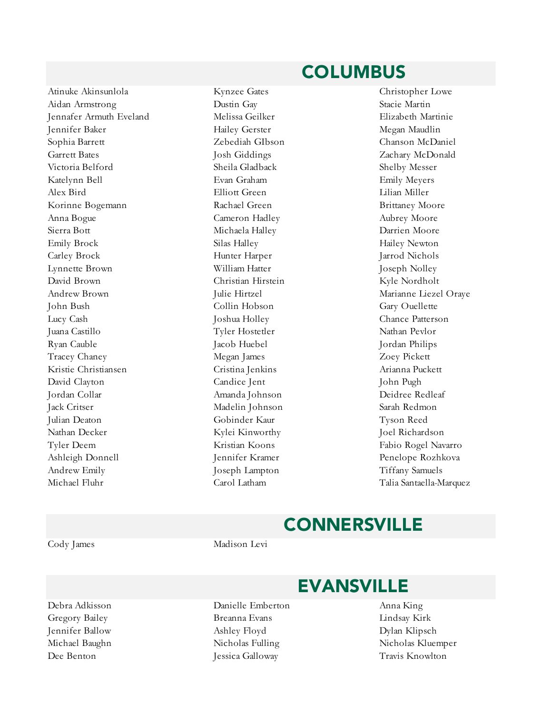#### Atinuke Akinsunlola Kynzee Gates Christopher Lowe Aidan Armstrong Dustin Gay Stacie Martin Jennafer Armuth Eveland Melissa Geilker Elizabeth Martinie Jennifer Baker Hailey Gerster Megan Maudlin Sophia Barrett Zebediah GIbson Chanson McDaniel Garrett Bates **School East Constanting Constanting Constanting Constanting Constanting Constanting Constanting Constanting Constanting Constanting Constanting Constanting Constanting Constanting Constanting Constanting Con** Victoria Belford Sheila Gladback Shelby Messer Katelynn Bell Evan Graham Emily Meyers Alex Bird Elliott Green Lilian Miller Korinne Bogemann Rachael Green Brittaney Moore Anna Bogue Cameron Hadley Aubrey Moore Sierra Bott Michaela Halley Darrien Moore Emily Brock Silas Halley Silas Halley Hailey Newton Carley Brock Hunter Harper Jarrod Nichols Lynnette Brown William Hatter Joseph Nolley David Brown Christian Hirstein Kyle Nordholt Andrew Brown Julie Hirtzel Marianne Liezel Oraye John Bush Collin Hobson Gary Ouellette Lucy Cash Joshua Holley Chance Patterson Juana Castillo Tyler Hostetler Nathan Pevlor Ryan Cauble Jacob Huebel Jordan Philips Tracey Chaney **Megan James** 20ey Pickett Kristie Christiansen Cristina Jenkins Arianna Puckett David Clayton Candice Jent John Pugh Jordan Collar Amanda Johnson Deidree Redleaf Jack Critser Madelin Johnson Sarah Redmon Julian Deaton Gobinder Kaur Tyson Reed Nathan Decker Kylei Kinworthy Joel Richardson Tyler Deem Kristian Koons Fabio Rogel Navarro Ashleigh Donnell Jennifer Kramer Penelope Rozhkova Andrew Emily **Samuels** Joseph Lampton **Tiffany Samuels** Michael Fluhr Carol Latham Talia Santaella-Marquez

#### COLUMBUS

#### **CONNERSVILLE**

Cody James Madison Levi

Debra Adkisson Danielle Emberton Anna King

#### EVANSVILLE

- Gregory Bailey Breanna Evans Lindsay Kirk Jennifer Ballow Ashley Floyd Dylan Klipsch Dee Benton Jessica Galloway Travis Knowlton
- Michael Baughn Nicholas Fulling Nicholas Kluemper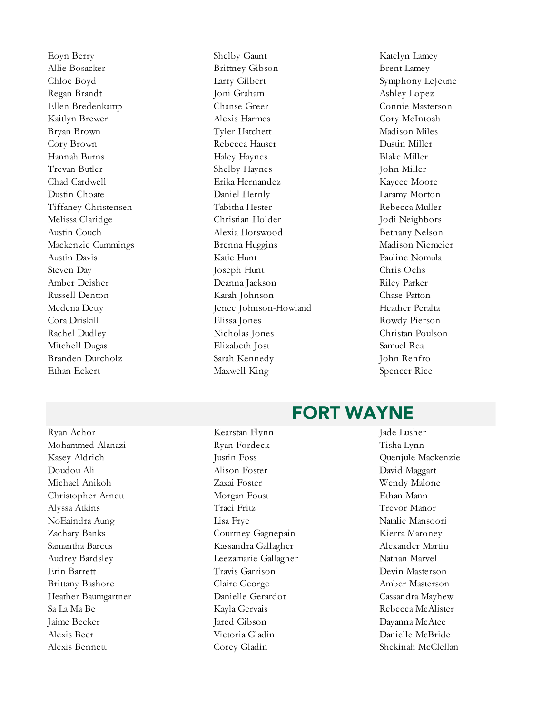Ethan Eckert Maxwell King Spencer Rice

Eoyn Berry Shelby Gaunt Katelyn Lamey Allie Bosacker Brittney Gibson Brent Lamey Chloe Boyd Larry Gilbert Earry Gilbert Symphony LeJeune Regan Brandt Joni Graham Ashley Lopez Ellen Bredenkamp Chanse Greer Connie Masterson Kaitlyn Brewer Alexis Harmes Cory McIntosh Bryan Brown Tyler Hatchett Madison Miles Cory Brown Rebecca Hauser Dustin Miller Hannah Burns Haley Haynes Blake Miller Trevan Butler Shelby Haynes John Miller Chad Cardwell Erika Hernandez Kaycee Moore Dustin Choate Daniel Hernly Laramy Morton Tiffaney Christensen Tabitha Hester Rebecca Muller Melissa Claridge Christian Holder Jodi Neighbors Austin Couch Alexia Horswood Bethany Nelson Mackenzie Cummings Brenna Huggins Madison Niemeier Austin Davis Katie Hunt Pauline Nomula Steven Day **Steven Day** Joseph Hunt Chris Ochs Amber Deisher Deanna Jackson Riley Parker Russell Denton Karah Johnson Chase Patton Medena Detty Jenee Johnson-Howland Heather Peralta Cora Driskill Elissa Jones Rowdy Pierson Rachel Dudley Nicholas Jones Christan Poulson Mitchell Dugas Elizabeth Jost Samuel Rea Branden Durcholz Sarah Kennedy John Renfro

#### FORT WAYNE

Mohammed Alanazi Ryan Fordeck Tisha Lynn Kasey Aldrich Justin Foss Quenjule Mackenzie Doudou Ali Alison Foster David Maggart Michael Anikoh Zaxai Foster Wendy Malone Christopher Arnett Morgan Foust Ethan Mann Alyssa Atkins Traci Fritz Trevor Manor NoEaindra Aung Lisa Frye Natalie Mansoori Zachary Banks Courtney Gagnepain Kierra Maroney Samantha Barcus Kassandra Gallagher Alexander Martin Audrey Bardsley Leezamarie Gallagher Nathan Marvel Erin Barrett Travis Garrison Devin Masterson Brittany Bashore Claire George Amber Masterson Heather Baumgartner Danielle Gerardot Cassandra Mayhew Sa La Ma Be **Kayla Gervais** Rebecca McAlister Jaime Becker Jared Gibson Dayanna McAtee Alexis Beer Victoria Gladin Danielle McBride

Ryan Achor Kearstan Flynn Jade Lusher Alexis Bennett Corey Gladin Shekinah McClellan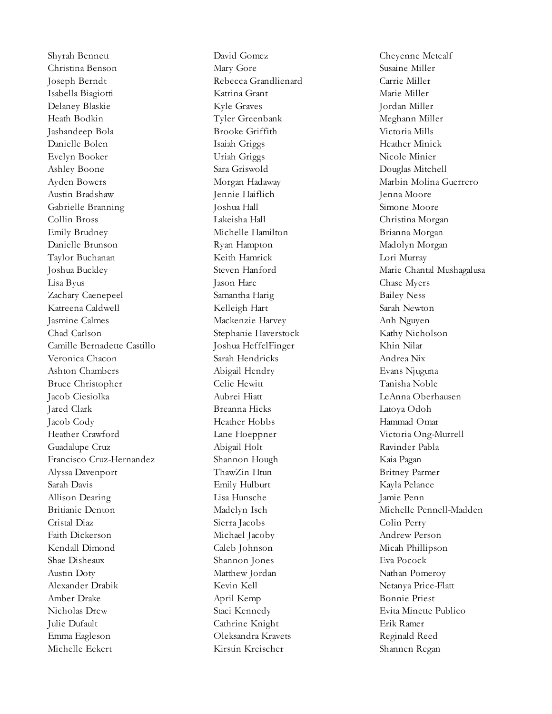Shyrah Bennett David Gomez Cheyenne Metcalf Christina Benson Mary Gore Susaine Miller Joseph Berndt Rebecca Grandlienard Carrie Miller Isabella Biagiotti Katrina Grant Marie Miller Delaney Blaskie Kyle Graves Jordan Miller Heath Bodkin Tyler Greenbank Meghann Miller Jashandeep Bola Brooke Griffith Victoria Mills Danielle Bolen Isaiah Griggs Heather Minick Evelyn Booker Uriah Griggs Nicole Minier Ashley Boone Sara Griswold Douglas Mitchell Ayden Bowers Morgan Hadaway Marbin Molina Guerrero Austin Bradshaw Jennie Haiflich Jenna Moore Gabrielle Branning Joshua Hall Simone Moore Collin Bross Lakeisha Hall Christina Morgan Emily Brudney Michelle Hamilton Brianna Morgan Danielle Brunson Ryan Hampton Madolyn Morgan Taylor Buchanan Keith Hamrick Lori Murray Lisa Byus Jason Hare Chase Myers Zachary Caenepeel Samantha Harig Bailey Ness Katreena Caldwell Kelleigh Hart Sarah Newton Jasmine Calmes Mackenzie Harvey Anh Nguyen Chad Carlson Stephanie Haverstock Kathy Nicholson Camille Bernadette Castillo Joshua HeffelFinger Khin Nilar Veronica Chacon Sarah Hendricks Andrea Nix Ashton Chambers Abigail Hendry Evans Njuguna Bruce Christopher Celie Hewitt Tanisha Noble Jacob Ciesiolka Aubrei Hiatt LeAnna Oberhausen Jared Clark Breanna Hicks Latoya Odoh Jacob Cody Heather Hobbs Hammad Omar Heather Crawford Lane Hoeppner Victoria Ong-Murrell Guadalupe Cruz Abigail Holt Ravinder Pabla Francisco Cruz-Hernandez Shannon Hough Kaia Pagan Alyssa Davenport ThawZin Htun Britney Parmer Sarah Davis Emily Hulburt Kayla Pelance Allison Dearing Lisa Hunsche Jamie Penn Cristal Diaz Sierra Jacobs Colin Perry Faith Dickerson Michael Jacoby Andrew Person Kendall Dimond Caleb Johnson Micah Phillipson Shae Disheaux Shannon Jones Eva Pocock Austin Doty **Matthew Jordan Nathan Pomeroy** Nathan Pomeroy Alexander Drabik Kevin Kell Netanya Price-Flatt Amber Drake April Kemp Bonnie Priest Nicholas Drew Staci Kennedy Evita Minette Publico Julie Dufault Cathrine Knight Erik Ramer Emma Eagleson Oleksandra Kravets Reginald Reed Michelle Eckert Kirstin Kreischer Shannen Regan

Joshua Buckley Steven Hanford Marie Chantal Mushagalusa Britianie Denton Madelyn Isch Michelle Pennell-Madden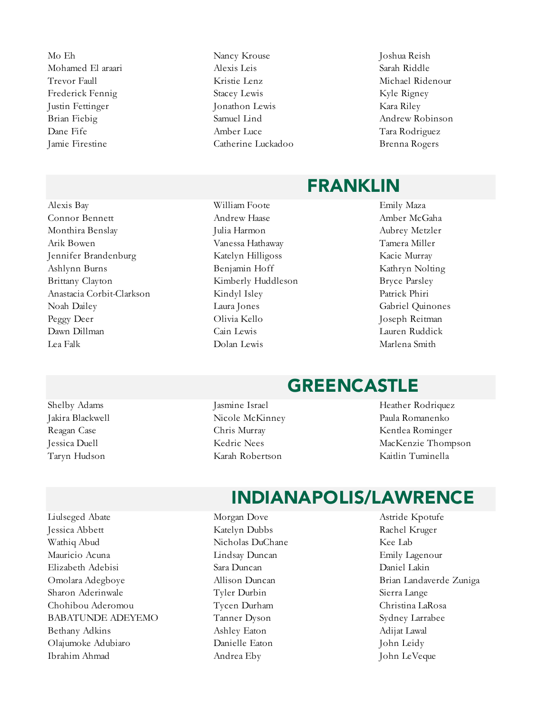Mo Eh Nancy Krouse Joshua Reish

Alexis Bay William Foote Emily Maza Connor Bennett Andrew Haase Amber McGaha Monthira Benslay Julia Harmon Aubrey Metzler Arik Bowen Vanessa Hathaway Tamera Miller Jennifer Brandenburg Katelyn Hilligoss Kacie Murray Ashlynn Burns Benjamin Hoff Kathryn Nolting Brittany Clayton **Kimberly Huddleson** Bryce Parsley Anastacia Corbit-Clarkson Kindyl Isley Patrick Phiri Noah Dailey Laura Jones Gabriel Quinones Peggy Deer Olivia Kello Joseph Reitman Dawn Dillman Cain Lewis Lauren Ruddick Lea Falk Dolan Lewis Marlena Smith

- Mohamed El araari Alexis Leis Sarah Riddle Trevor Faull Kristie Lenz Michael Ridenour Frederick Fennig Stacey Lewis Stacey Lewis Kyle Rigney Justin Fettinger Jonathon Lewis Kara Riley Brian Fiebig Samuel Lind Andrew Robinson Dane Fife Amber Luce Tara Rodriguez Jamie Firestine Catherine Luckadoo Brenna Rogers
- 

#### FRANKLIN

#### GREENCASTLE

- Jakira Blackwell Nicole McKinney Paula Romanenko Taryn Hudson Karah Robertson Kaitlin Tuminella
- Shelby Adams **Jasmine Israel** Jasmine Israel Heather Rodriquez Reagan Case Chris Murray Kentlea Rominger Jessica Duell Kedric Nees MacKenzie Thompson

#### INDIANAPOLIS/LAWRENCE

- Liulseged Abate Morgan Dove Astride Kpotufe Jessica Abbett Katelyn Dubbs Rachel Kruger Wathiq Abud **Nicholas DuChane** Kee Lab Mauricio Acuna Lindsay Duncan Emily Lagenour Elizabeth Adebisi Sara Duncan Daniel Lakin Omolara Adegboye Allison Duncan Brian Landaverde Zuniga Sharon Aderinwale Tyler Durbin Sierra Lange Chohibou Aderomou Tycen Durham Christina LaRosa BABATUNDE ADEYEMO Tanner Dyson Sydney Larrabee Bethany Adkins **Ashley Eaton** Ashley Eaton Adijat Lawal Olajumoke Adubiaro Danielle Eaton John Leidy Ibrahim Ahmad Andrea Eby John LeVeque
	-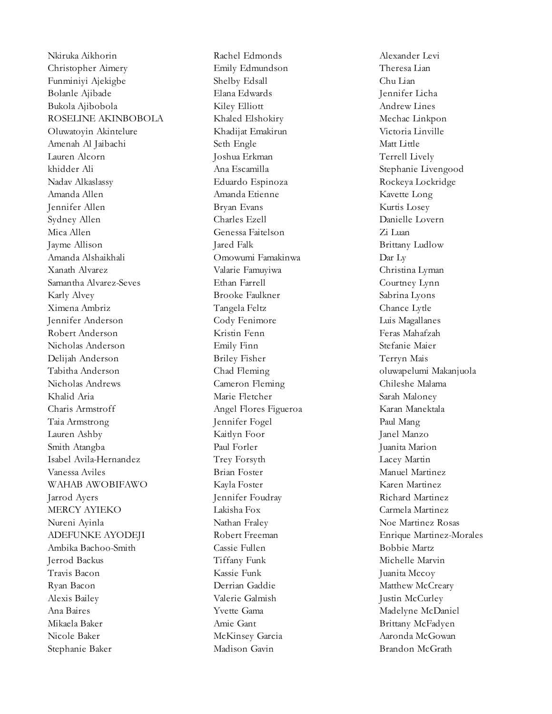Nkiruka Aikhorin Rachel Edmonds Alexander Levi Christopher Aimery Emily Edmundson Theresa Lian Funminiyi Ajekigbe Shelby Edsall Chu Lian Bolanle Ajibade Elana Edwards Jennifer Licha Bukola Ajibobola Kiley Elliott Andrew Lines ROSELINE AKINBOBOLA Khaled Elshokiry Mechac Linkpon Oluwatoyin Akintelure Khadijat Emakirun Victoria Linville Amenah Al Jaibachi Seth Engle Seth Engle Lauren Alcorn Joshua Erkman Terrell Lively khidder Ali **Ana Escamilla** Ana Escamilla Stephanie Livengood Nadav Alkaslassy Eduardo Espinoza Rockeya Lockridge Amanda Allen Amanda Etienne Kavette Long Jennifer Allen Bryan Evans Kurtis Losey Sydney Allen Charles Ezell Danielle Lovern Mica Allen Genessa Faitelson Zi Luan Jayme Allison Jacob Jacob Jacob Jacob Jacob Brittany Ludlow Amanda Alshaikhali Omowumi Famakinwa Dar Ly Xanath Alvarez Valarie Famuyiwa Christina Lyman Samantha Alvarez-Seves Ethan Farrell Courtney Lynn Karly Alvey Brooke Faulkner Sabrina Lyons Ximena Ambriz Tangela Feltz Chance Lytle Jennifer Anderson Cody Fenimore Luis Magallanes Robert Anderson Kristin Fenn Feras Mahafzah Nicholas Anderson Emily Finn Stefanie Maier Delijah Anderson Briley Fisher Terryn Mais Tabitha Anderson **Chad Fleming** Chad Fleming Chad Fleming oluwapelumi Makanjuola Nicholas Andrews Cameron Fleming Chileshe Malama Khalid Aria **Marie Fletcher** Sarah Maloney Charis Armstroff Angel Flores Figueroa Karan Manektala Taia Armstrong Jennifer Fogel Paul Mang Lauren Ashby Kaitlyn Foor Janel Manzo Smith Atangba Paul Forler Juanita Marion Isabel Avila-Hernandez Trey Forsyth Lacey Martin Vanessa Aviles Brian Foster Manuel Martinez WAHAB AWOBIFAWO Kayla Foster Karen Martinez Jarrod Ayers Jennifer Foudray Richard Martinez MERCY AYIEKO Lakisha Fox Carmela Martinez Nureni Ayinla Nathan Fraley Noe Martinez Rosas ADEFUNKE AYODEJI Robert Freeman Enrique Martinez-Morales Ambika Bachoo-Smith Cassie Fullen Bobbie Martz Jerrod Backus Tiffany Funk Michelle Marvin Travis Bacon Travis Bacon Kassie Funk Juanita Mccoy Ryan Bacon Derrian Gaddie Matthew McCreary Alexis Bailey Valerie Galmish Justin McCurley Ana Baires **Madelyne McDaniel** Yvette Gama Madelyne McDaniel Mikaela Baker Amie Gant Brittany McFadyen Nicole Baker McKinsey Garcia Aaronda McGowan Stephanie Baker Madison Gavin Brandon McGrath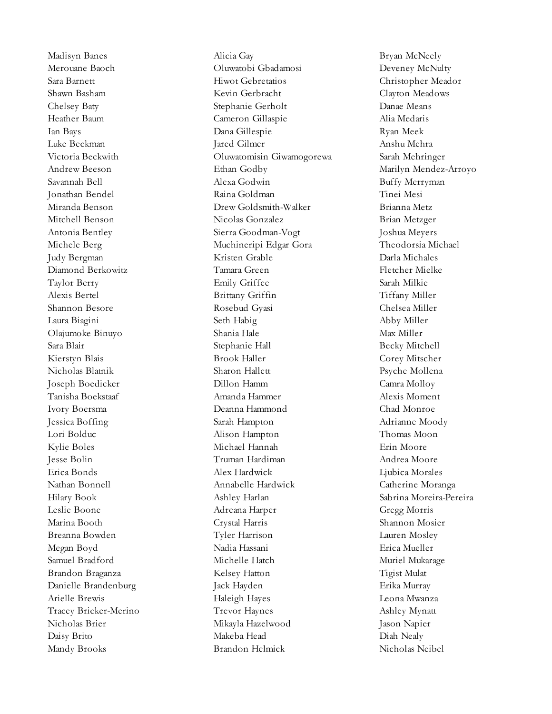Madisyn Banes Alicia Gay Bryan McNeely Merouane Baoch Oluwatobi Gbadamosi Deveney McNulty Sara Barnett Hiwot Gebretatios Christopher Meador Shawn Basham Kevin Gerbracht Clayton Meadows Chelsey Baty Stephanie Gerholt Danae Means Heather Baum Cameron Gillaspie Alia Medaris Ian Bays Dana Gillespie Ryan Meek Luke Beckman Jared Gilmer Anshu Mehra Victoria Beckwith Oluwatomisin Giwamogorewa Sarah Mehringer Andrew Beeson Ethan Godby Marilyn Mendez-Arroyo Savannah Bell Alexa Godwin Buffy Merryman Jonathan Bendel Raina Goldman Tinei Mesi Miranda Benson Drew Goldsmith-Walker Brianna Metz Mitchell Benson Nicolas Gonzalez Brian Metzger Antonia Bentley Sierra Goodman-Vogt Joshua Meyers Michele Berg Muchineripi Edgar Gora Theodorsia Michael Judy Bergman Kristen Grable Darla Michales Diamond Berkowitz Tamara Green Fletcher Mielke Taylor Berry Emily Griffee Sarah Milkie Alexis Bertel Brittany Griffin Tiffany Miller Shannon Besore **Rosebud Gyasi** Chelsea Miller Laura Biagini Seth Habig Abby Miller Olajumoke Binuyo Shania Hale Max Miller Sara Blair **Stephanie Hall** Becky Mitchell Becky Mitchell Kierstyn Blais Brook Haller Corey Mitscher Nicholas Blatnik Sharon Hallett Psyche Mollena Joseph Boedicker Dillon Hamm Camra Molloy Tanisha Boekstaaf Amanda Hammer Alexis Moment Ivory Boersma Deanna Hammond Chad Monroe Jessica Boffing Sarah Hampton Sarah Hampton Adrianne Moody Lori Bolduc Alison Hampton Thomas Moon Kylie Boles Michael Hannah Erin Moore Jesse Bolin Truman Hardiman Andrea Moore Erica Bonds Alex Hardwick Ljubica Morales Nathan Bonnell Annabelle Hardwick Catherine Moranga Hilary Book Ashley Harlan Sabrina Moreira-Pereira Leslie Boone Adreana Harper Gregg Morris Marina Booth Crystal Harris Shannon Mosier Breanna Bowden Tyler Harrison Lauren Mosley Megan Boyd Nadia Hassani Erica Mueller Samuel Bradford Michelle Hatch Muriel Mukarage Brandon Braganza Kelsey Hatton Tigist Mulat Danielle Brandenburg Jack Hayden Erika Murray Arielle Brewis Haleigh Hayes Leona Mwanza Tracey Bricker-Merino Trevor Haynes Ashley Mynatt Nicholas Brier Mikayla Hazelwood Jason Napier Daisy Brito Makeba Head Diah Nealy Mandy Brooks Brandon Helmick Nicholas Neibel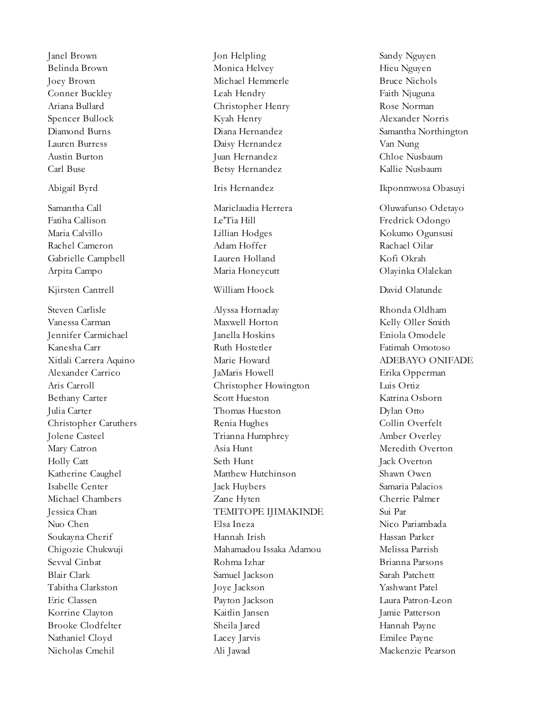Nicholas Cmehil Ali Jawad Mackenzie Pearson

Janel Brown Jon Helpling Sandy Nguyen Belinda Brown Monica Helvey Hieu Nguyen Joey Brown Michael Hemmerle Bruce Nichols Conner Buckley Leah Hendry Faith Njuguna Ariana Bullard Christopher Henry Rose Norman Spencer Bullock Kyah Henry Alexander Norris Diamond Burns Diana Hernandez Samantha Northington Lauren Burress Daisy Hernandez Van Nung Austin Burton Juan Hernandez Chloe Nusbaum Carl Buse Betsy Hernandez Kallie Nusbaum Abigail Byrd Iris Hernandez Ikponmwosa Obasuyi Samantha Call Mariclaudia Herrera Oluwafunso Odetayo Fatiha Callison Le'Tia Hill Fredrick Odongo Maria Calvillo Lillian Hodges Kokumo Ogunsusi Rachel Cameron Adam Hoffer Rachael Oilar Gabrielle Campbell Lauren Holland Kofi Okrah Arpita Campo Maria Honeycutt Olayinka Olalekan Kjirsten Cantrell William Hoock David Olatunde Steven Carlisle Alyssa Hornaday Rhonda Oldham Vanessa Carman Maxwell Horton Maxwell Horton Kelly Oller Smith Jennifer Carmichael Janella Hoskins Eniola Omodele Kanesha Carr Ruth Hostetler Fatimah Omotoso Xitlali Carrera Aquino Marie Howard ADEBAYO ONIFADE Alexander Carrico JaMaris Howell Erika Opperman Aris Carroll Christopher Howington Luis Ortiz Bethany Carter Scott Hueston Scott Hueston Katrina Osborn Julia Carter Thomas Hueston Dylan Otto Christopher Caruthers **Renia Hughes** Collin Overfelt Jolene Casteel Trianna Humphrey Amber Overley Mary Catron Asia Hunt Meredith Overton Holly Catt Seth Hunt Jack Overton Katherine Caughel Matthew Hutchinson Shawn Owen Isabelle Center Jack Huybers Samaria Palacios Michael Chambers Zane Hyten Cherrie Palmer Jessica Chan TEMITOPE IJIMAKINDE Sui Par Nuo Chen Elsa Ineza Nico Pariambada Soukayna Cherif Hannah Irish Hassan Parker Chigozie Chukwuji Mahamadou Issaka Adamou Melissa Parrish Sevval Cinbat Rohma Izhar Brianna Parsons Blair Clark Samuel Jackson Sarah Patchett Tabitha Clarkston Joye Jackson Yashwant Patel Eric Classen Payton Jackson Laura Patron-Leon Korrine Clayton Kaitlin Jansen Jamie Patterson Brooke Clodfelter Sheila Jared Hannah Payne Nathaniel Cloyd Lacey Jarvis Emilee Payne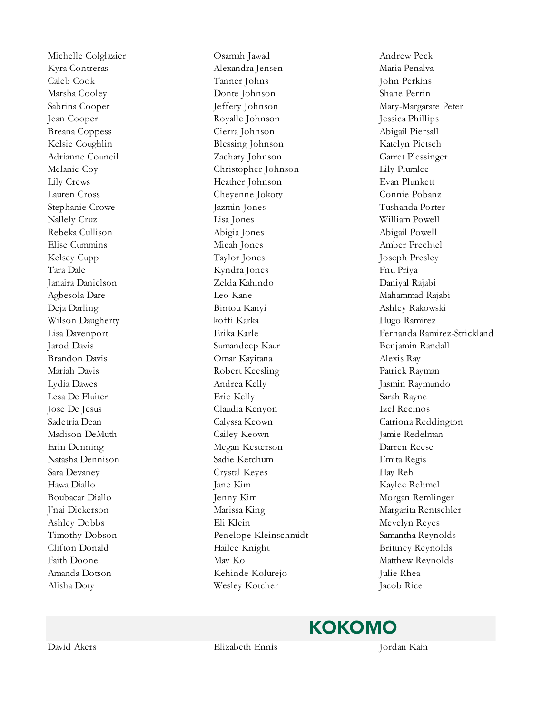Michelle Colglazier Osamah Jawad Andrew Peck Kyra Contreras Alexandra Jensen Maria Penalva Caleb Cook Tanner Johns John Perkins Marsha Cooley Donte Johnson Shane Perrin Sabrina Cooper Jeffery Johnson Mary-Margarate Peter Jean Cooper Royalle Johnson Jessica Phillips Breana Coppess Cierra Johnson Abigail Piersall Kelsie Coughlin Blessing Johnson Katelyn Pietsch Adrianne Council Zachary Johnson Garret Plessinger Melanie Coy Christopher Johnson Lily Plumlee Lily Crews Heather Johnson Evan Plunkett Lauren Cross Cheyenne Jokoty Connie Pobanz Stephanie Crowe Jazmin Jones Tushanda Porter Nallely Cruz Lisa Jones William Powell Rebeka Cullison Abigia Jones Abigail Powell Elise Cummins Micah Jones Amber Prechtel Kelsey Cupp Taylor Jones Joseph Presley Tara Dale Kyndra Jones Fnu Priya Janaira Danielson Zelda Kahindo Daniyal Rajabi Agbesola Dare Leo Kane Mahammad Rajabi Deja Darling Bintou Kanyi Ashley Rakowski Bintou Kanyi Ashley Rakowski Wilson Daugherty koffi Karka Hugo Ramirez Jarod Davis Sumandeep Kaur Benjamin Randall Brandon Davis Omar Kayitana Alexis Ray Mariah Davis Robert Keesling Patrick Rayman Lydia Dawes Andrea Kelly Jasmin Raymundo Lesa De Fluiter Eric Kelly Sarah Rayne Jose De Jesus Claudia Kenyon Izel Recinos Sadetria Dean Calyssa Keown Catriona Reddington Madison DeMuth Cailey Keown Jamie Redelman Erin Denning Megan Kesterson Darren Reese Natasha Dennison Sadie Ketchum Emita Regis Sara Devaney Crystal Keyes Hay Reh Hawa Diallo **Iane Kim** Jane Kim Kaylee Rehmel Boubacar Diallo Jenny Kim Morgan Remlinger J'nai Dickerson Marissa King Margarita Rentschler Ashley Dobbs Eli Klein Mevelyn Reyes Timothy Dobson Penelope Kleinschmidt Samantha Reynolds Clifton Donald **Example Hailee Knight** Brittney Reynolds Faith Doone May Ko Matthew Reynolds Amanda Dotson Kehinde Kolurejo Julie Rhea Alisha Doty Wesley Kotcher Jacob Rice

Lisa Davenport Erika Karle Fernanda Ramirez-Strickland

KOKOMO

David Akers Elizabeth Ennis Jordan Kain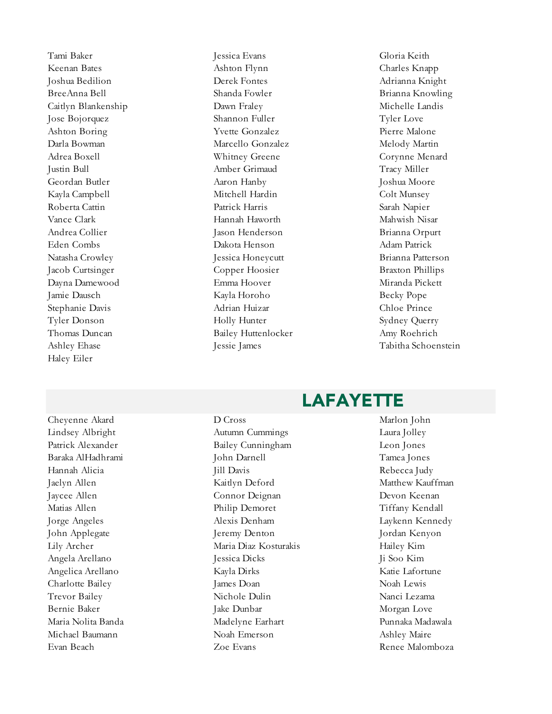Haley Eiler

Tami Baker Jessica Evans Gloria Keith Keenan Bates **Ashton Flynn** Charles Knapp Charles Knapp Joshua Bedilion Derek Fontes Adrianna Knight BreeAnna Bell Shanda Fowler Brianna Knowling Caitlyn Blankenship Dawn Fraley Michelle Landis Jose Bojorquez Shannon Fuller Tyler Love Ashton Boring Text Pierre Malone Pierre Malone Darla Bowman Marcello Gonzalez Melody Martin Adrea Boxell **Example 2018** Whitney Greene Corynne Menard Justin Bull Amber Grimaud Tracy Miller Geordan Butler Aaron Hanby Joshua Moore Kayla Campbell Mitchell Hardin Colt Munsey Roberta Cattin Patrick Harris Sarah Napier Vance Clark **Hannah Haworth Mahwish Nisar** Hannah Haworth Mahwish Nisar Andrea Collier Jason Henderson Brianna Orpurt Eden Combs Dakota Henson Adam Patrick Natasha Crowley Jessica Honeycutt Brianna Patterson Jacob Curtsinger Copper Hoosier Braxton Phillips Dayna Damewood Emma Hoover Miranda Pickett Jamie Dausch Kayla Horoho Becky Pope Stephanie Davis Adrian Huizar Chloe Prince Tyler Donson Holly Hunter Sydney Querry Thomas Duncan Bailey Huttenlocker Amy Roehrich

Ashley Ehase **Jessie James** Jessie James Tabitha Schoenstein

#### **LAFAYETTE**

Cheyenne Akard D Cross Marlon John Lindsey Albright Autumn Cummings Laura Jolley Patrick Alexander Bailey Cunningham Leon Jones Baraka AlHadhrami John Darnell Tamea Jones Hannah Alicia Jill Davis Rebecca Judy Jaelyn Allen Kaitlyn Deford Matthew Kauffman Jaycee Allen Connor Deignan Devon Keenan Matias Allen Philip Demoret Tiffany Kendall Jorge Angeles Alexis Denham Laykenn Kennedy John Applegate Jeremy Denton Jordan Kenyon Lily Archer Maria Diaz Kosturakis Hailey Kim Angela Arellano Jessica Dicks Ji Soo Kim Angelica Arellano Kayla Dirks Katie Lafortune Charlotte Bailey James Doan James Doan Noah Lewis Trevor Bailey Nichole Dulin Nanci Lezama Bernie Baker Take Dunbar Jake Dunbar Morgan Love Maria Nolita Banda Madelyne Earhart Punnaka Madawala Michael Baumann Noah Emerson Ashley Maire Evan Beach Communication Communication Communication Communication Communication Renewal Renewal Malomboza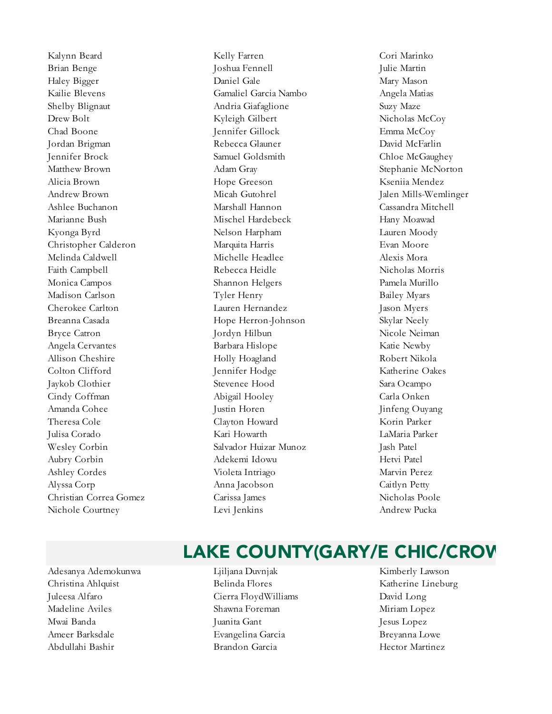Kalynn Beard Kelly Farren Cori Marinko Nichole Courtney **Levi Jenkins** Levi Jenkins Andrew Pucka

Brian Benge The Joshua Fennell The Julie Martin Haley Bigger Daniel Gale Daniel Gale Mary Mason Kailie Blevens Gamaliel Garcia Nambo Angela Matias Shelby Blignaut Andria Giafaglione Suzy Maze Drew Bolt Kyleigh Gilbert Nicholas McCoy Chad Boone Jennifer Gillock Emma McCoy Jordan Brigman Rebecca Glauner David McFarlin Jennifer Brock Samuel Goldsmith Chloe McGaughey Matthew Brown **Adam Gray** Adam Gray Stephanie McNorton Alicia Brown Hope Greeson Kseniia Mendez Andrew Brown Micah Gutohrel Jalen Mills-Wemlinger Ashlee Buchanon Marshall Hannon Cassandra Mitchell Marianne Bush Mischel Hardebeck Hany Moawad Kyonga Byrd Nelson Harpham Lauren Moody Christopher Calderon Marquita Harris Evan Moore Melinda Caldwell Michelle Headlee Alexis Mora Faith Campbell Rebecca Heidle Nicholas Morris Monica Campos Shannon Helgers Pamela Murillo Madison Carlson Tyler Henry Bailey Myars Cherokee Carlton Lauren Hernandez Jason Myers Breanna Casada Hope Herron-Johnson Skylar Neely Bryce Catron **1988** Iordyn Hilbun 1988 Micole Neiman Angela Cervantes Barbara Hislope Katie Newby Allison Cheshire **Holly Hoagland** Robert Nikola Colton Clifford Jennifer Hodge Katherine Oakes Jaykob Clothier Stevenee Hood Sara Ocampo Cindy Coffman Abigail Hooley Carla Onken Amanda Cohee Justin Horen Jinfeng Ouyang Theresa Cole Clayton Howard Korin Parker Julisa Corado Kari Howarth LaMaria Parker Wesley Corbin Salvador Huizar Munoz Jash Patel Aubry Corbin Adekemi Idowu Hetvi Patel Ashley Cordes Violeta Intriago Marvin Perez Alyssa Corp Anna Jacobson Caitlyn Petty Christian Correa Gomez Carissa James Nicholas Poole

#### LAKE COUNTY(GARY/E CHIC/CROV

- Adesanya Ademokunwa Ljiljana Duvnjak Kimberly Lawson Christina Ahlquist Belinda Flores Katherine Lineburg Juleesa Alfaro Cierra FloydWilliams David Long Madeline Aviles Shawna Foreman Miriam Lopez Mwai Banda Juanita Gant Jesus Lopez Ameer Barksdale Evangelina Garcia Breyanna Lowe Abdullahi Bashir Brandon Garcia Hector Martinez
	-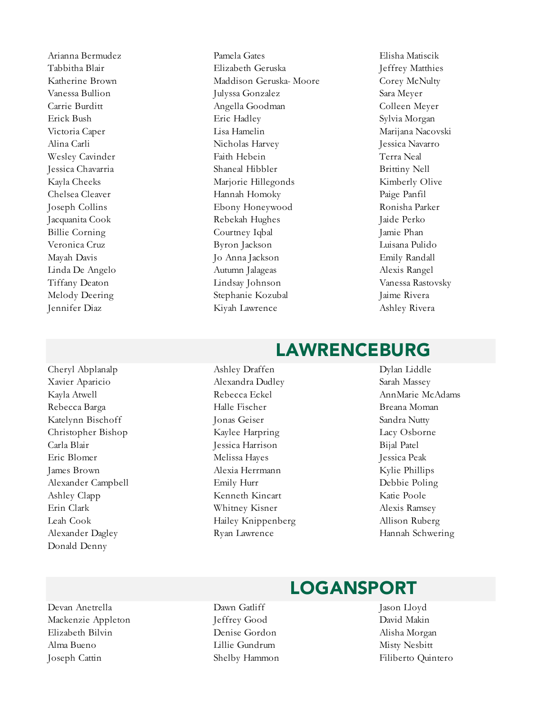Cheryl Abplanalp Ashley Draffen Dylan Liddle Donald Denny

Arianna Bermudez Pamela Gates Elisha Matiscik Tabbitha Blair Elizabeth Geruska Jeffrey Matthies Katherine Brown Maddison Geruska- Moore Corey McNulty Vanessa Bullion Julyssa Gonzalez Sara Meyer Carrie Burditt Angella Goodman Colleen Meyer Erick Bush Eric Hadley Sylvia Morgan Victoria Caper Lisa Hamelin Marijana Nacovski Alina Carli Nicholas Harvey Jessica Navarro Wesley Cavinder Faith Hebein Terra Neal Jessica Chavarria Shaneal Hibbler Brittiny Nell Kayla Cheeks **Marjorie Hillegonds** Kimberly Olive Chelsea Cleaver Hannah Homoky Paige Panfil Joseph Collins Ebony Honeywood Ronisha Parker Jacquanita Cook Rebekah Hughes Jaide Perko Billie Corning Courtney Iqbal Jamie Phan Veronica Cruz Byron Jackson Luisana Pulido Mayah Davis Jo Anna Jackson Emily Randall Linda De Angelo Autumn Jalageas Alexis Rangel Tiffany Deaton Lindsay Johnson Vanessa Rastovsky Melody Deering Stephanie Kozubal Jaime Rivera Jennifer Diaz Kiyah Lawrence Ashley Rivera

#### LAWRENCEBURG

Xavier Aparicio Alexandra Dudley Sarah Massey Kayla Atwell Rebecca Eckel AnnMarie McAdams Rebecca Barga Halle Fischer Breana Moman Katelynn Bischoff Jonas Geiser Sandra Nutty Christopher Bishop Kaylee Harpring Lacy Osborne Carla Blair Jessica Harrison Bijal Patel Eric Blomer Melissa Hayes Jessica Peak James Brown Alexia Herrmann Kylie Phillips Alexander Campbell Emily Hurr Debbie Poling Ashley Clapp Kenneth Kincart Katie Poole Erin Clark Whitney Kisner Alexis Ramsey Leah Cook Hailey Knippenberg Allison Ruberg Alexander Dagley Ryan Lawrence Hannah Schwering

#### Devan Anetrella Dawn Gatliff Jason Lloyd Mackenzie Appleton Jeffrey Good David Makin Elizabeth Bilvin Denise Gordon Alisha Morgan Alma Bueno Lillie Gundrum Misty Nesbitt

- LOGANSPORT
- Joseph Cattin Shelby Hammon Filiberto Quintero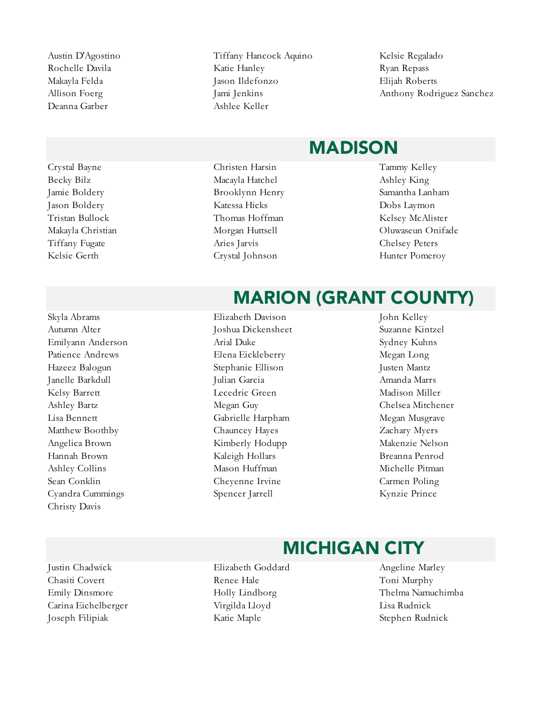Deanna Garber Ashlee Keller

Crystal Bayne Christen Harsin Tammy Kelley Kelsie Gerth Crystal Johnson Hunter Pomeroy

Autumn Alter Joshua Dickensheet Suzanne Kintzel Emilyann Anderson Arial Duke Sydney Kuhns Patience Andrews Elena Eickleberry Megan Long Hazeez Balogun Stephanie Ellison Justen Mantz Janelle Barkdull Julian Garcia Amanda Marrs Kelsy Barrett Lecedric Green Madison Miller Ashley Bartz Megan Guy Chelsea Mitchener Lisa Bennett Gabrielle Harpham Megan Musgrave Matthew Boothby Chauncey Hayes Zachary Myers Angelica Brown Kimberly Hodupp Makenzie Nelson Hannah Brown Kaleigh Hollars Breanna Penrod Ashley Collins **Mason Huffman** Michelle Pitman Michelle Pitman Sean Conklin Cheyenne Irvine Carmen Poling Cyandra Cummings Spencer Jarrell Kynzie Prince Christy Davis

Austin D'Agostino Tiffany Hancock Aquino Kelsie Regalado Rochelle Davila **Katie Hanley** Ryan Repass Ryan Repass Makayla Felda Jason Ildefonzo Elijah Roberts

Allison Foerg Jami Jenkins Anthony Rodriguez Sanchez

#### MADISON

- Becky Bilz **Macayla Hatchel** Ashley King Jamie Boldery Brooklynn Henry Samantha Lanham Jason Boldery Katessa Hicks Dobs Laymon Tristan Bullock Thomas Hoffman Kelsey McAlister Tiffany Fugate Aries Jarvis Chelsey Peters
- Makayla Christian Morgan Huttsell Oluwaseun Onifade

#### MARION (GRANT COUNTY)

Skyla Abrams Elizabeth Davison John Kelley

#### MICHIGAN CITY

- Justin Chadwick Elizabeth Goddard Angeline Marley Chasiti Covert **Renee Hale** Toni Murphy Carina Eichelberger Virgilda Lloyd Lisa Rudnick Joseph Filipiak Katie Maple Stephen Rudnick
- Emily Dinsmore Holly Lindborg Thelma Namuchimba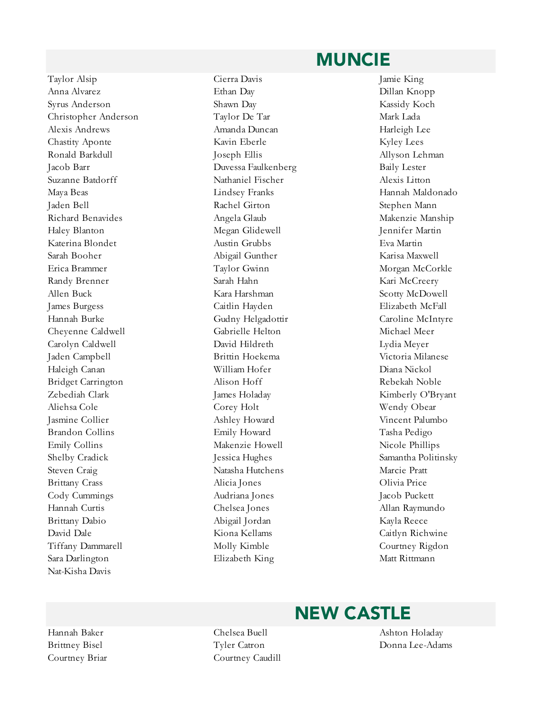#### MUNCIE

Taylor Alsip Cierra Davis Jamie King Anna Alvarez Ethan Day Dillan Knopp Syrus Anderson Shawn Day Kassidy Koch Christopher Anderson Taylor De Tar Mark Lada Alexis Andrews Amanda Duncan Harleigh Lee Chastity Aponte Kavin Eberle Kyley Lees Ronald Barkdull **Allyson Lehman** Joseph Ellis **Allyson Lehman** Jacob Barr Duvessa Faulkenberg Baily Lester Suzanne Batdorff Nathaniel Fischer Alexis Litton Maya Beas Lindsey Franks Hannah Maldonado Jaden Bell Rachel Girton Stephen Mann Richard Benavides Angela Glaub Makenzie Manship Haley Blanton Megan Glidewell Jennifer Martin Katerina Blondet Austin Grubbs Eva Martin Sarah Booher Abigail Gunther Karisa Maxwell Erica Brammer Taylor Gwinn Morgan McCorkle Randy Brenner Sarah Hahn Kari McCreery Allen Buck **Kara Harshman** Scotty McDowell James Burgess Caitlin Hayden Elizabeth McFall Hannah Burke Gudny Helgadottir Caroline McIntyre Cheyenne Caldwell Gabrielle Helton Michael Meer Carolyn Caldwell David Hildreth Lydia Meyer Jaden Campbell Brittin Hoekema Victoria Milanese Haleigh Canan William Hofer Diana Nickol Bridget Carrington Alison Hoff Rebekah Noble Zebediah Clark James Holaday Kimberly O'Bryant Aliehsa Cole Corey Holt Wendy Obear Jasmine Collier Ashley Howard Vincent Palumbo Brandon Collins Emily Howard Tasha Pedigo Emily Collins Makenzie Howell Nicole Phillips Shelby Cradick Jessica Hughes Samantha Politinsky Steven Craig Natasha Hutchens Marcie Pratt Brittany Crass Chambridge Crass Alicia Jones Colivia Price Cody Cummings Audriana Jones Jacob Puckett Hannah Curtis Chelsea Jones Allan Raymundo Brittany Dabio Abigail Jordan Kayla Reece David Dale Kiona Kellams Caitlyn Richwine Tiffany Dammarell Molly Kimble Courtney Rigdon Sara Darlington Elizabeth King Matt Rittmann Nat-Kisha Davis

#### NEW CASTLE

Courtney Briar Courtney Caudill

Hannah Baker Chelsea Buell Ashton Holaday Brittney Bisel Tyler Catron Donna Lee-Adams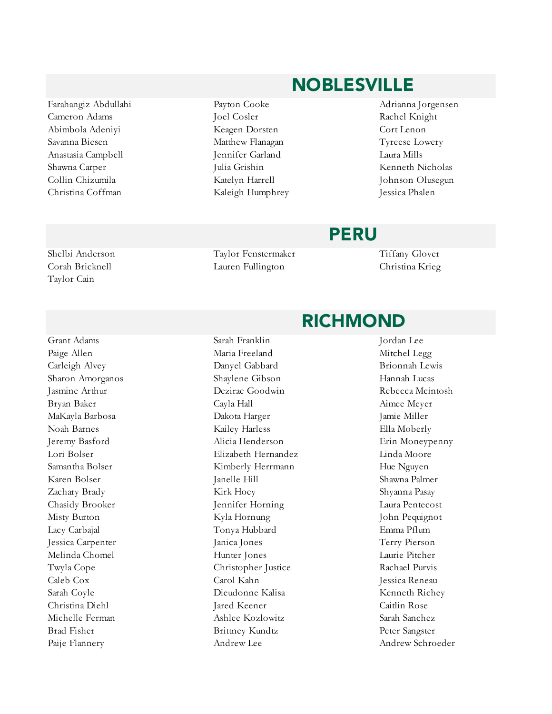Cameron Adams Joel Cosler Rachel Knight Anastasia Campbell Jennifer Garland Laura Mills Shawna Carper Julia Grishin Kenneth Nicholas Collin Chizumila Katelyn Harrell Johnson Olusegun Christina Coffman Kaleigh Humphrey Jessica Phalen

Taylor Cain

# Farahangiz Abdullahi Payton Cooke Adrianna Jorgensen

#### PERU

Shelbi Anderson Taylor Fenstermaker Tiffany Glover Corah Bricknell Lauren Fullington Christina Krieg

#### Paige Allen **Maria Freeland** Maria Freeland Mitchel Legg Carleigh Alvey Danyel Gabbard Brionnah Lewis Sharon Amorganos Shaylene Gibson Hannah Lucas Jasmine Arthur Dezirae Goodwin Rebecca Mcintosh Bryan Baker Cayla Hall Aimee Meyer MaKayla Barbosa Dakota Harger Jamie Miller Noah Barnes Kailey Harless Ella Moberly Jeremy Basford Alicia Henderson Erin Moneypenny Lori Bolser Elizabeth Hernandez Linda Moore Samantha Bolser **Kimberly Herrmann** Hue Nguyen Karen Bolser Janelle Hill Shawna Palmer Zachary Brady Kirk Hoey Shyanna Pasay Chasidy Brooker Jennifer Horning Laura Pentecost Misty Burton Kyla Hornung John Pequignot Lacy Carbajal Tonya Hubbard Emma Pflum Jessica Carpenter Janica Jones Terry Pierson Melinda Chomel Hunter Jones Laurie Pitcher Twyla Cope Christopher Justice Rachael Purvis Caleb Cox Carol Kahn Jessica Reneau Sarah Coyle Dieudonne Kalisa Kenneth Richey Christina Diehl Jared Keener Caitlin Rose Michelle Ferman Ashlee Kozlowitz Sarah Sanchez Brad Fisher Brittney Kundtz Peter Sangster Paije Flannery **Andrew Lee** Andrew Lee Andrew Schroeder

#### RICHMOND

Grant Adams Sarah Franklin Jordan Lee

Abimbola Adeniyi Keagen Dorsten Cort Lenon Savanna Biesen Matthew Flanagan Tyreese Lowery

### NOBLESVILLE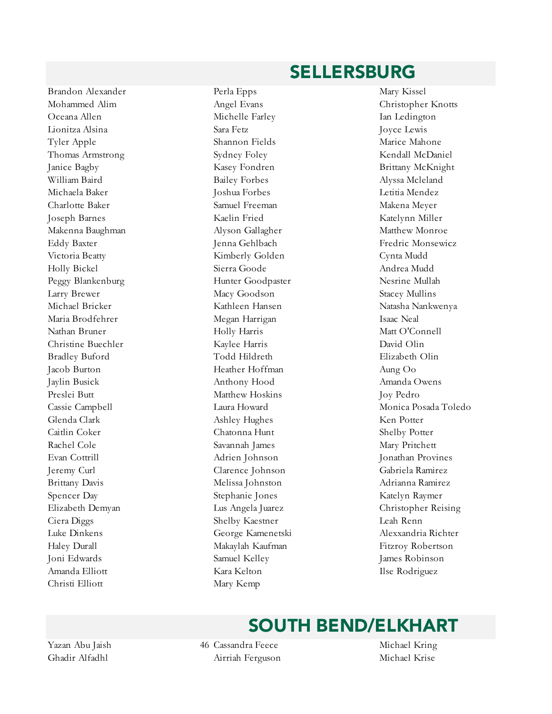Brandon Alexander Perla Epps Mary Kissel Oceana Allen Michelle Farley Ian Ledington Lionitza Alsina Sara Fetz Joyce Lewis Tyler Apple Shannon Fields Marice Mahone Thomas Armstrong Sydney Foley Kendall McDaniel Janice Bagby Kasey Fondren Brittany McKnight William Baird **Bailey Forbes** Bailey Forbes Alyssa Mcleland Michaela Baker Joshua Forbes Letitia Mendez Charlotte Baker Samuel Freeman Makena Meyer Joseph Barnes Kaelin Fried Katelynn Miller Makenna Baughman Alyson Gallagher Matthew Monroe Victoria Beatty **Kimberly Golden** Cynta Mudd Holly Bickel Sierra Goode Andrea Mudd Peggy Blankenburg 
Hunter Goodpaster

Hunter Goodpaster

Nesrine Mullah Larry Brewer Macy Goodson Stacey Mullins Maria Brodfehrer Megan Harrigan Isaac Neal Nathan Bruner Holly Harris Matt O'Connell Christine Buechler Kaylee Harris David Olin Bradley Buford Todd Hildreth Elizabeth Olin Jacob Burton Heather Hoffman Aung Oo Jaylin Busick Anthony Hood Amanda Owens Preslei Butt **Matthew Hoskins** Joy Pedro Glenda Clark Ashley Hughes Ken Potter Caitlin Coker Chatonna Hunt Shelby Potter Rachel Cole Savannah James Mary Pritchett Evan Cottrill Adrien Johnson Jonathan Provines Jeremy Curl Clarence Johnson Gabriela Ramirez Brittany Davis Melissa Johnston Adrianna Ramirez Spencer Day Stephanie Jones Katelyn Raymer Ciera Diggs Shelby Kaestner Leah Renn Luke Dinkens George Kamenetski Alexxandria Richter Haley Durall Makaylah Kaufman Fitzroy Robertson Joni Edwards Samuel Kelley James Robinson Amanda Elliott Kara Kelton Ilse Rodriguez Christi Elliott Mary Kemp

# Mohammed Alim Angel Evans Christopher Knotts Eddy Baxter Jenna Gehlbach Fredric Monsewicz Michael Bricker Kathleen Hansen Natasha Nankwenya Cassie Campbell Laura Howard Monica Posada Toledo Elizabeth Demyan Lus Angela Juarez Christopher Reising

SELLERSBURG

#### SOUTH BEND/ELKHART

Yazan Abu Jaish 46 Cassandra Feece Michael Kring Ghadir Alfadhl Airriah Ferguson Michael Krise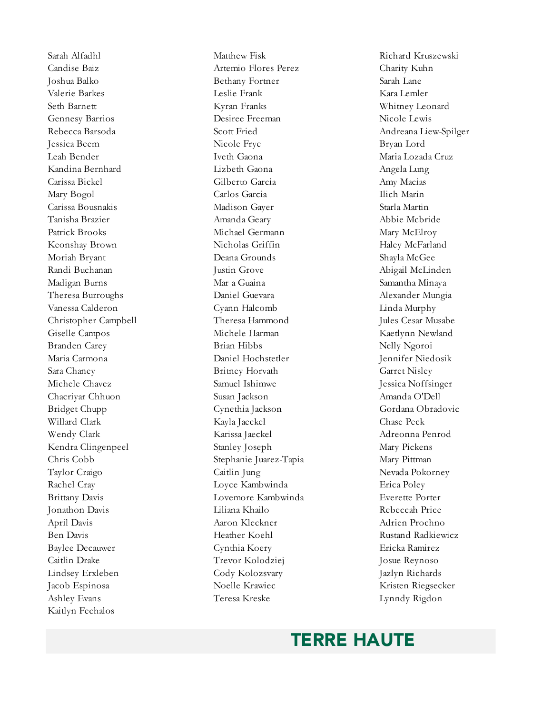Ashley Evans Teresa Kreske Lynndy Rigdon Kaitlyn Fechalos

Sarah Alfadhl Matthew Fisk Richard Kruszewski Candise Baiz Artemio Flores Perez Charity Kuhn Joshua Balko Bethany Fortner Sarah Lane Valerie Barkes Leslie Frank Kara Lemler Seth Barnett Kyran Franks Whitney Leonard Gennesy Barrios Desiree Freeman Nicole Lewis Rebecca Barsoda Scott Fried Andreana Liew-Spilger Jessica Beem Nicole Frye Bryan Lord Leah Bender Iveth Gaona Maria Lozada Cruz Kandina Bernhard Lizbeth Gaona Angela Lung Carissa Bickel Gilberto Garcia Amy Macias Mary Bogol Carlos Garcia Ilich Marin Carissa Bousnakis Madison Gayer Starla Martin Tanisha Brazier Amanda Geary Abbie Mcbride Patrick Brooks Michael Germann Mary McElroy Keonshay Brown Nicholas Griffin Haley McFarland Moriah Bryant Deana Grounds Shayla McGee Randi Buchanan Justin Grove Abigail McLinden Madigan Burns Mar a Guaina Samantha Minaya Theresa Burroughs Daniel Guevara Alexander Mungia Vanessa Calderon Cyann Halcomb Linda Murphy Christopher Campbell Theresa Hammond Jules Cesar Musabe Giselle Campos Michele Harman Kaetlynn Newland Branden Carey Brian Hibbs Nelly Ngoroi Maria Carmona Daniel Hochstetler Jennifer Niedosik Sara Chaney Britney Horvath Garret Nisley Michele Chavez Samuel Ishimwe Jessica Noffsinger Chacriyar Chhuon Susan Jackson Amanda O'Dell Bridget Chupp Cynethia Jackson Gordana Obradovic Willard Clark **Kayla Jaeckel** Chase Peck Wendy Clark Karissa Jaeckel Adreonna Penrod Kendra Clingenpeel Stanley Joseph Mary Pickens Chris Cobb Stephanie Juarez-Tapia Mary Pittman Taylor Craigo Caitlin Jung Nevada Pokorney Rachel Cray Loyce Kambwinda Erica Poley Brittany Davis Lovemore Kambwinda Everette Porter Jonathon Davis Liliana Khailo Rebeccah Price April Davis Aaron Kleckner Adrien Prochno Ben Davis Heather Koehl Rustand Radkiewicz Baylee Decauwer Cynthia Koery Ericka Ramirez Caitlin Drake Trevor Kolodziej Josue Reynoso Lindsey Erxleben Cody Kolozsvary Jazlyn Richards Jacob Espinosa Noelle Krawiec Kristen Riegsecker

#### TERRE HAUTE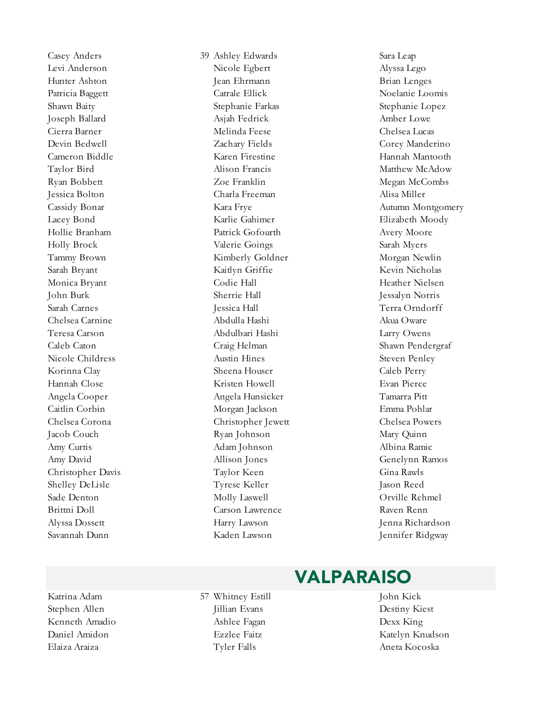Casey Anders 39 Ashley Edwards Sara Leap Savannah Dunn Kaden Lawson Jennifer Ridgway

Levi Anderson Nicole Egbert Alyssa Lego Hunter Ashton Jean Ehrmann Brian Lenges Patricia Baggett Catrale Ellick Noelanie Loomis Shawn Baity Stephanie Farkas Stephanie Lopez Joseph Ballard Asjah Fedrick Amber Lowe Cierra Barner Melinda Feese Chelsea Lucas Devin Bedwell Zachary Fields Corey Manderino Cameron Biddle Karen Firestine Hannah Mantooth Taylor Bird Alison Francis Matthew McAdow Ryan Bobbett **X** 20e Franklin Megan McCombs Jessica Bolton Charla Freeman Alisa Miller Lacey Bond Karlie Gahimer Elizabeth Moody Hollie Branham Patrick Gofourth Avery Moore Holly Brock Valerie Goings Sarah Myers Tammy Brown Kimberly Goldner Morgan Newlin Sarah Bryant Kaitlyn Griffie Kevin Nicholas Monica Bryant Codie Hall Heather Nielsen John Burk Sherrie Hall Jessalyn Norris Sarah Carnes Jessica Hall Terra Orndorff Chelsea Carnine Abdulla Hashi Akua Oware Teresa Carson Abdulbari Hashi Larry Owens Caleb Caton Craig Helman Shawn Pendergraf Nicole Childress **Austin Hines** Austin Hines Steven Penley Korinna Clay Sheena Houser Caleb Perry Hannah Close Kristen Howell Evan Pierce Angela Cooper Angela Hunsicker Tamarra Pitt Caitlin Corbin Morgan Jackson Emma Pohlar Chelsea Corona Christopher Jewett Chelsea Powers Jacob Couch Ryan Johnson Mary Quinn Amy Curtis Adam Johnson Albina Ramic Amy David Allison Jones Genelynn Ramos Christopher Davis Taylor Keen Gina Rawls Shelley DeLisle Tyrese Keller Jason Reed Sade Denton Molly Laswell Orville Rehmel Brittni Doll Carson Lawrence Raven Renn Alyssa Dossett Harry Lawson Jenna Richardson

Cassidy Bonar **Kara Frye** Kara Frye Autumn Montgomery

#### VALPARAISO

Stephen Allen **Jillian Evans** Destiny Kiest Kenneth Amadio and Ashlee Fagan and Dexx King Daniel Amidon Ezzlee Faitz Katelyn Knudson

Katrina Adam 57 Whitney Estill John Kick Elaiza Araiza Tyler Falls Aneta Kocoska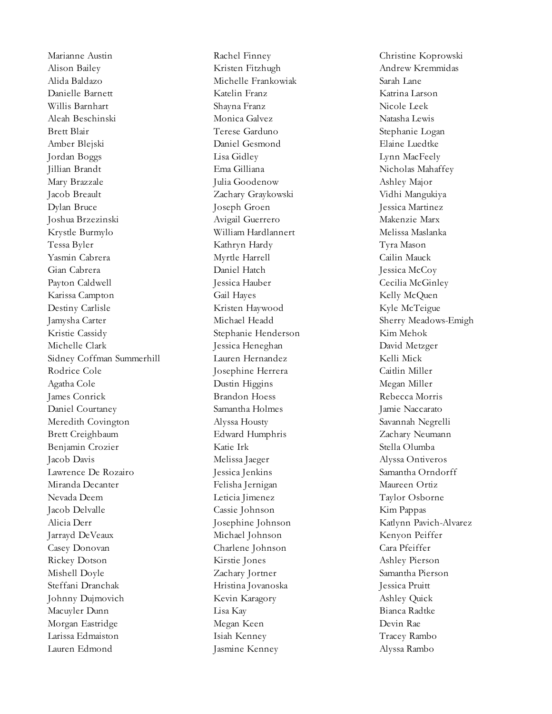Marianne Austin Rachel Finney Christine Koprowski Alison Bailey Kristen Fitzhugh Andrew Kremmidas Alida Baldazo Michelle Frankowiak Sarah Lane Danielle Barnett Katelin Franz Katrina Larson Willis Barnhart Shayna Franz Nicole Leek Aleah Beschinski Monica Galvez Natasha Lewis Brett Blair Terese Garduno Stephanie Logan Amber Blejski Daniel Gesmond Elaine Luedtke Jordan Boggs Lisa Gidley Lynn MacFeely Jillian Brandt Ema Gilliana Nicholas Mahaffey Mary Brazzale Julia Goodenow Ashley Major Jacob Breault Zachary Graykowski Vidhi Mangukiya Dylan Bruce Joseph Groen Jessica Martinez Joshua Brzezinski Avigail Guerrero Makenzie Marx Krystle Burmylo William Hardlannert Melissa Maslanka Tessa Byler Kathryn Hardy Tyra Mason Yasmin Cabrera Myrtle Harrell Cailin Mauck Gian Cabrera Daniel Hatch Jessica McCoy Payton Caldwell Jessica Hauber Cecilia McGinley Karissa Campton Gail Hayes Kelly McQuen Destiny Carlisle **Kristen Haywood** Kyle McTeigue Jamysha Carter Michael Headd Sherry Meadows-Emigh Kristie Cassidy Stephanie Henderson Kim Mehok Michelle Clark Jessica Heneghan David Metzger Sidney Coffman Summerhill Lauren Hernandez Kelli Mick Rodrice Cole Josephine Herrera Caitlin Miller Agatha Cole Dustin Higgins Megan Miller James Conrick Brandon Hoess Rebecca Morris Daniel Courtaney Samantha Holmes Jamie Naccarato Meredith Covington Alyssa Housty Savannah Negrelli Brett Creighbaum Edward Humphris Zachary Neumann Benjamin Crozier Katie Irk Stella Olumba Jacob Davis Melissa Jaeger Alyssa Ontiveros Lawrence De Rozairo Jessica Jenkins Samantha Orndorff Miranda Decanter Felisha Jernigan Maureen Ortiz Nevada Deem Leticia Jimenez Taylor Osborne Jacob Delvalle Cassie Johnson Kim Pappas Alicia Derr Josephine Johnson Katlynn Pavich-Alvarez Jarrayd DeVeaux Michael Johnson Kenyon Peiffer Casey Donovan Charlene Johnson Cara Pfeiffer Rickey Dotson Kirstie Jones Ashley Pierson Mishell Doyle Zachary Jortner Samantha Pierson Steffani Dranchak Hristina Jovanoska Jessica Pruitt Johnny Dujmovich Kevin Karagory Ashley Quick Macuyler Dunn Lisa Kay Bianca Radtke Morgan Eastridge Megan Keen Devin Rae Larissa Edmaiston Isiah Kenney Tracey Rambo Lauren Edmond Jasmine Kenney Alyssa Rambo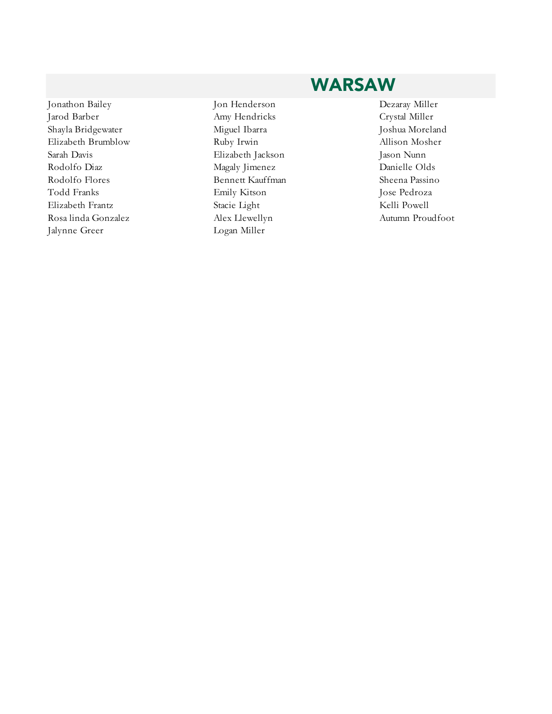#### Jonathon Bailey Jon Henderson Dezaray Miller Jarod Barber Amy Hendricks Crystal Miller Shayla Bridgewater Miguel Ibarra Joshua Moreland Elizabeth Brumblow Ruby Irwin Allison Mosher Sarah Davis Elizabeth Jackson Jason Nunn Rodolfo Diaz Magaly Jimenez Danielle Olds Rodolfo Flores **Bennett Kauffman** Sheena Passino Todd Franks Emily Kitson Jose Pedroza Elizabeth Frantz Stacie Light Stacie Light Kelli Powell Rosa linda Gonzalez Alex Llewellyn Autumn Proudfoot Jalynne Greer Logan Miller

#### WARSAW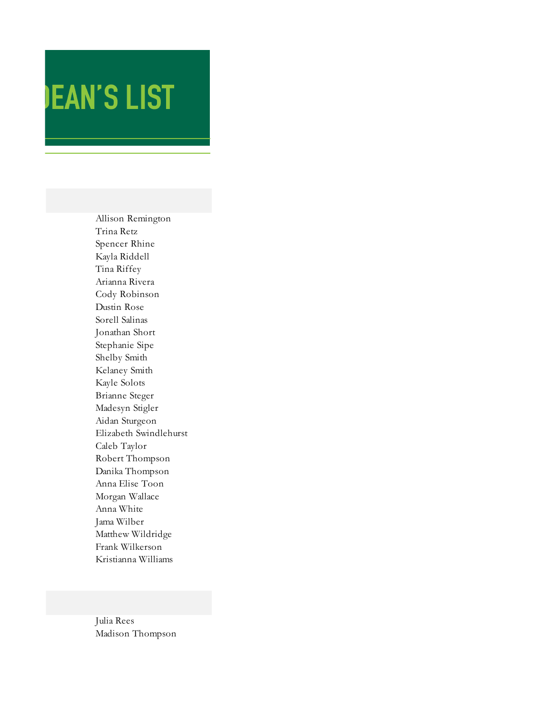## **JEAN'S LIST**

Allison Remington Trina Retz Spencer Rhine Kayla Riddell Tina Riffey Arianna Rivera Cody Robinson Dustin Rose Sorell Salinas Jonathan Short Stephanie Sipe Shelby Smith Kelaney Smith Kayle Solots Brianne Steger Madesyn Stigler Aidan Sturgeon Elizabeth Swindlehurst Caleb Taylor Robert Thompson Danika Thompson Anna Elise Toon Morgan Wallace Anna White Jama Wilber Matthew Wildridge Frank Wilkerson Kristianna Williams

Julia Rees Madison Thompson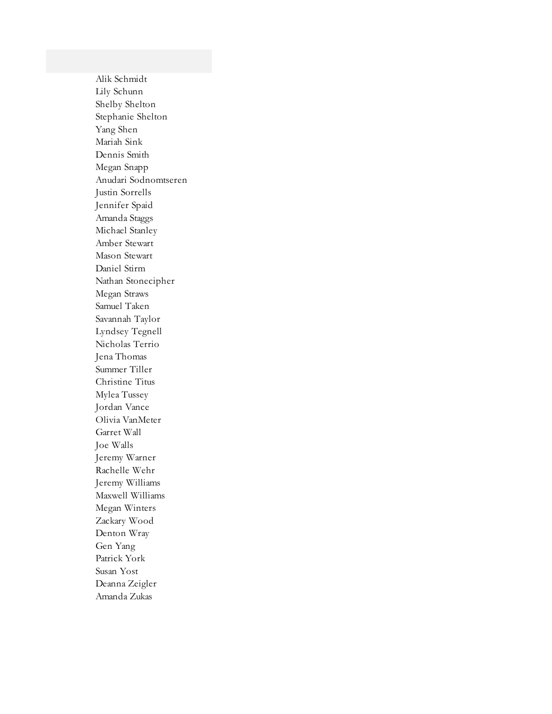Alik Schmidt Lily Schunn Shelby Shelton Stephanie Shelton Yang Shen Mariah Sink Dennis Smith Megan Snapp Anudari Sodnomtseren Justin Sorrells Jennifer Spaid Amanda Staggs Michael Stanley Amber Stewart Mason Stewart Daniel Stirm Nathan Stonecipher Megan Straws Samuel Taken Savannah Taylor Lyndsey Tegnell Nicholas Terrio Jena Thomas Summer Tiller Christine Titus Mylea Tussey Jordan Vance Olivia VanMeter Garret Wall Joe Walls Jeremy Warner Rachelle Wehr Jeremy Williams Maxwell Williams Megan Winters Zackary Wood Denton Wray Gen Yang Patrick York Susan Yost Deanna Zeigler Amanda Zukas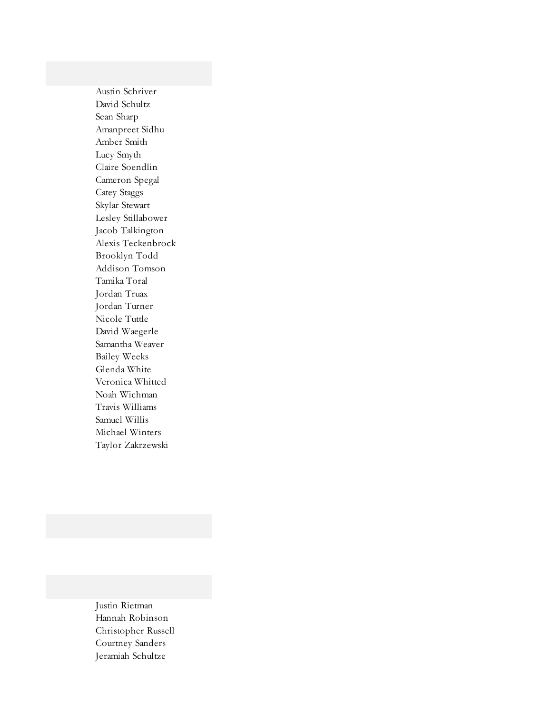Austin Schriver David Schultz Sean Sharp Amanpreet Sidhu Amber Smith Lucy Smyth Claire Soendlin Cameron Spegal Catey Staggs Skylar Stewart Lesley Stillabower Jacob Talkington Alexis Teckenbrock Brooklyn Todd Addison Tomson Tamika Toral Jordan Truax Jordan Turner Nicole Tuttle David Waegerle Samantha Weaver Bailey Weeks Glenda White Veronica Whitted Noah Wichman Travis Williams Samuel Willis Michael Winters Taylor Zakrzewski

Justin Rietman Hannah Robinson Christopher Russell Courtney Sanders Jeramiah Schultze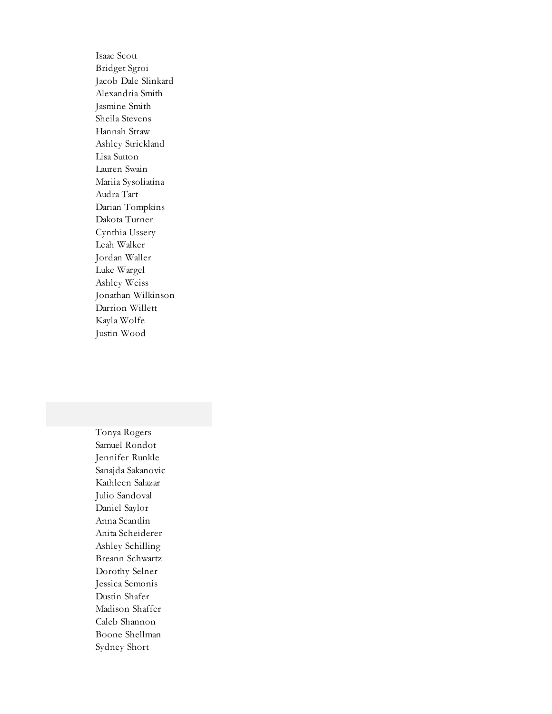Isaac Scott Bridget Sgroi Jacob Dale Slinkard Alexandria Smith Jasmine Smith Sheila Stevens Hannah Straw Ashley Strickland Lisa Sutton Lauren Swain Mariia Sysoliatina Audra Tart Darian Tompkins Dakota Turner Cynthia Ussery Leah Walker Jordan Waller Luke Wargel Ashley Weiss Jonathan Wilkinson Darrion Willett Kayla Wolfe Justin Wood

Tonya Rogers Samuel Rondot Jennifer Runkle Sanajda Sakanovic Kathleen Salazar Julio Sandoval Daniel Saylor Anna Scantlin Anita Scheiderer Ashley Schilling Breann Schwartz Dorothy Selner Jessica Semonis Dustin Shafer Madison Shaffer Caleb Shannon Boone Shellman Sydney Short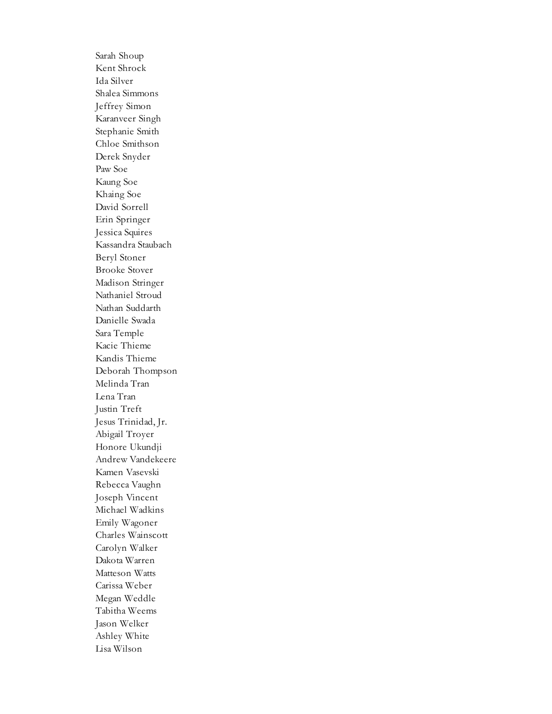Sarah Shoup Kent Shrock Ida Silver Shalea Simmons Jeffrey Simon Karanveer Singh Stephanie Smith Chloe Smithson Derek Snyder Paw Soe Kaung Soe Khaing Soe David Sorrell Erin Springer Jessica Squires Kassandra Staubach Beryl Stoner Brooke Stover Madison Stringer Nathaniel Stroud Nathan Suddarth Danielle Swada Sara Temple Kacie Thieme Kandis Thieme Deborah Thompson Melinda Tran Lena Tran Justin Treft Jesus Trinidad, Jr. Abigail Troyer Honore Ukundji Andrew Vandekeere Kamen Vasevski Rebecca Vaughn Joseph Vincent Michael Wadkins Emily Wagoner Charles Wainscott Carolyn Walker Dakota Warren Matteson Watts Carissa Weber Megan Weddle Tabitha Weems Jason Welker Ashley White Lisa Wilson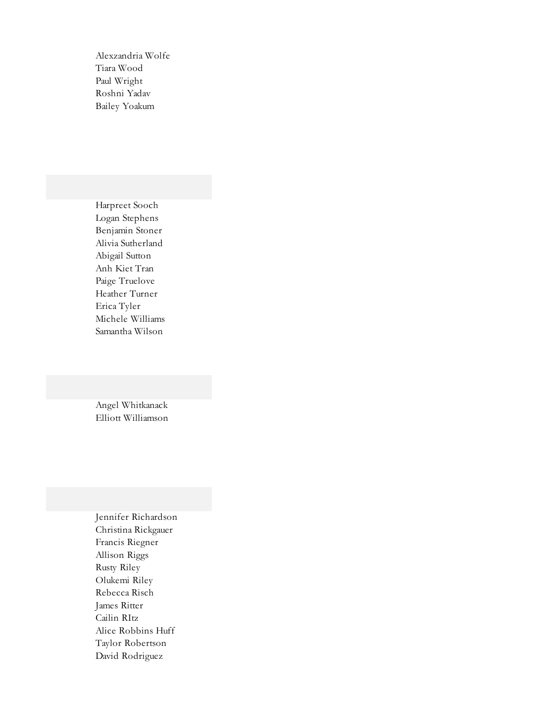Alexzandria Wolfe Tiara Wood Paul Wright Roshni Yadav Bailey Yoakum

Harpreet Sooch Logan Stephens Benjamin Stoner Alivia Sutherland Abigail Sutton Anh Kiet Tran Paige Truelove Heather Turner Erica Tyler Michele Williams Samantha Wilson

Angel Whitkanack Elliott Williamson

Jennifer Richardson Christina Rickgauer Francis Riegner Allison Riggs Rusty Riley Olukemi Riley Rebecca Risch James Ritter Cailin RItz Alice Robbins Huff Taylor Robertson David Rodriguez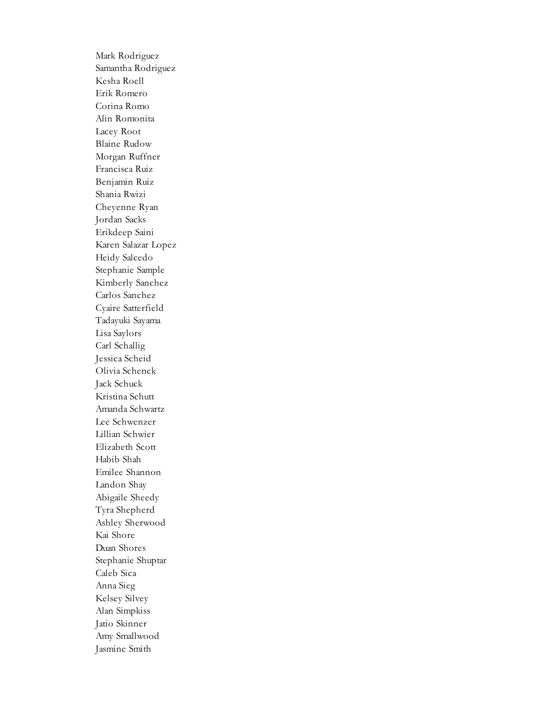Mark Rodriguez Samantha Rodriguez Kesha Roell Erik Romero Corina Romo Alin Romonita Lacey Root Blaine Rudow Morgan Ruffner Francisca Ruiz Benjamin Ruiz Shania Rwizi Cheyenne Ryan Jordan Sacks Erikdeep Saini Karen Salazar Lopez Heidy Salcedo Stephanie Sample Kimberly Sanchez Carlos Sanchez Cyaire Satterfield Tadayuki Sayama Lisa Saylors Carl Schallig Jessica Scheid Olivia Schenck Jack Schuck Kristina Schutt Amanda Schwartz Lee Schwenzer Lillian Schwier Elizabeth Scott Habib Shah Emilee Shannon Landon Shay Abigaile Sheedy Tyra Shepherd Ashley Sherwood Kai Shore Duan Shores Stephanie Shuptar Caleb Sica Anna Sieg Kelsey Silvey Alan Simpkiss Jatio Skinner Amy Smallwood Jasmine Smith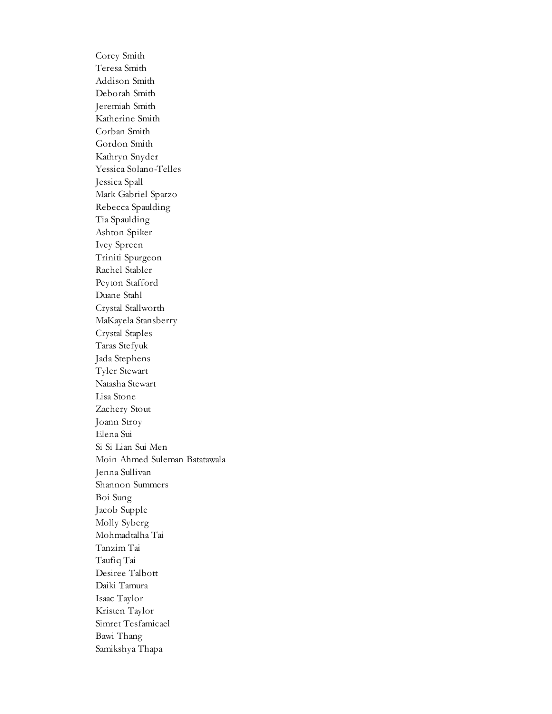Corey Smith Teresa Smith Addison Smith Deborah Smith Jeremiah Smith Katherine Smith Corban Smith Gordon Smith Kathryn Snyder Yessica Solano-Telles Jessica Spall Mark Gabriel Sparzo Rebecca Spaulding Tia Spaulding Ashton Spiker Ivey Spreen Triniti Spurgeon Rachel Stabler Peyton Stafford Duane Stahl Crystal Stallworth MaKayela Stansberry Crystal Staples Taras Stefyuk Jada Stephens Tyler Stewart Natasha Stewart Lisa Stone Zachery Stout Joann Stroy Elena Sui Si Si Lian Sui Men Moin Ahmed Suleman Batatawala Jenna Sullivan Shannon Summers Boi Sung Jacob Supple Molly Syberg Mohmadtalha Tai Tanzim Tai Taufiq Tai Desiree Talbott Daiki Tamura Isaac Taylor Kristen Taylor Simret Tesfamicael Bawi Thang Samikshya Thapa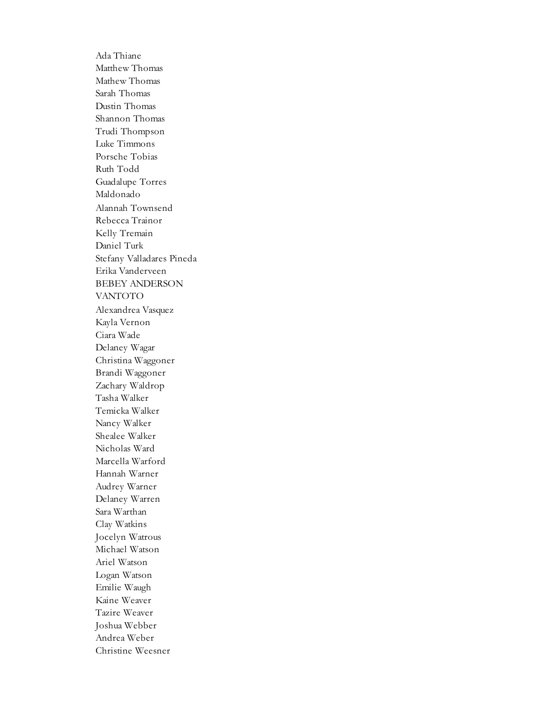Ada Thiane Matthew Thomas Mathew Thomas Sarah Thomas Dustin Thomas Shannon Thomas Trudi Thompson Luke Timmons Porsche Tobias Ruth Todd Guadalupe Torres Maldonado Alannah Townsend Rebecca Trainor Kelly Tremain Daniel Turk Stefany Valladares Pineda Erika Vanderveen BEBEY ANDERSON VANTOTO Alexandrea Vasquez Kayla Vernon Ciara Wade Delaney Wagar Christina Waggoner Brandi Waggoner Zachary Waldrop Tasha Walker Temicka Walker Nancy Walker Shealee Walker Nicholas Ward Marcella Warford Hannah Warner Audrey Warner Delaney Warren Sara Warthan Clay Watkins Jocelyn Watrous Michael Watson Ariel Watson Logan Watson Emilie Waugh Kaine Weaver Tazire Weaver Joshua Webber Andrea Weber Christine Weesner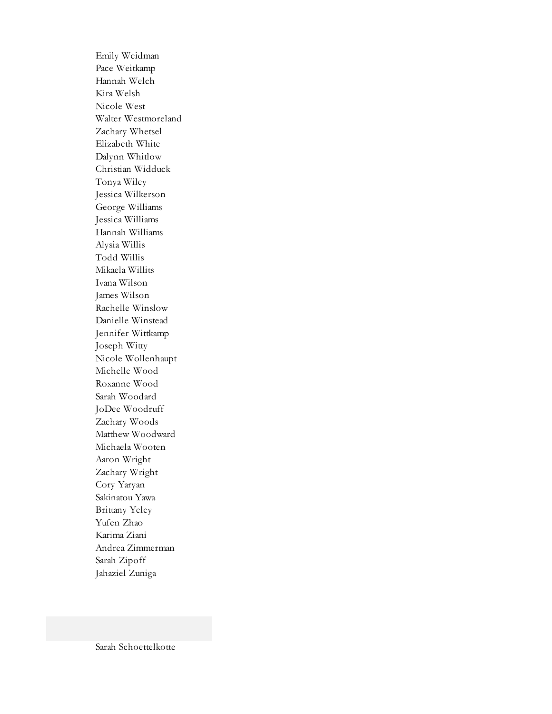Emily Weidman Pace Weitkamp Hannah Welch Kira Welsh Nicole West Walter Westmoreland Zachary Whetsel Elizabeth White Dalynn Whitlow Christian Widduck Tonya Wiley Jessica Wilkerson George Williams Jessica Williams Hannah Williams Alysia Willis Todd Willis Mikaela Willits Ivana Wilson James Wilson Rachelle Winslow Danielle Winstead Jennifer Wittkamp Joseph Witty Nicole Wollenhaupt Michelle Wood Roxanne Wood Sarah Woodard JoDee Woodruff Zachary Woods Matthew Woodward Michaela Wooten Aaron Wright Zachary Wright Cory Yaryan Sakinatou Yawa Brittany Yeley Yufen Zhao Karima Ziani Andrea Zimmerman Sarah Zipoff Jahaziel Zuniga

Sarah Schoettelkotte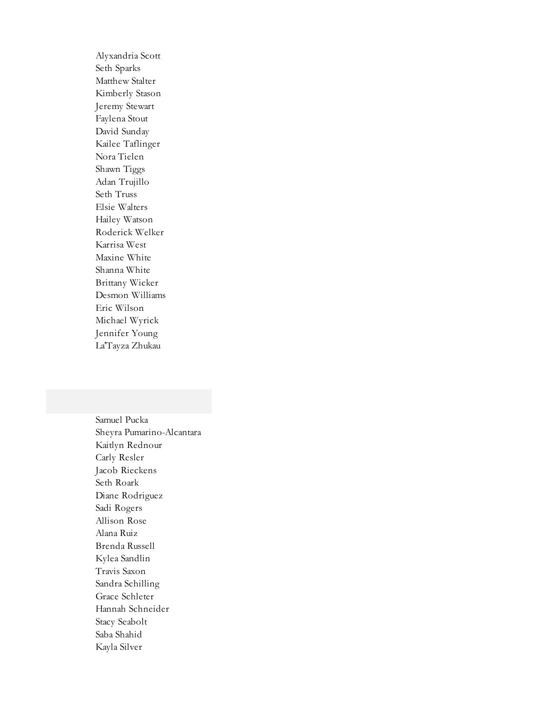Alyxandria Scott Seth Sparks Matthew Stalter Kimberly Stason Jeremy Stewart Faylena Stout David Sunday Kailee Taflinger Nora Tielen Shawn Tiggs Adan Trujillo Seth Truss Elsie Walters Hailey Watson Roderick Welker Karrisa West Maxine White Shanna White Brittany Wicker Desmon Williams Eric Wilson Michael Wyrick Jennifer Young La'Tayza Zhukau

Samuel Pucka Sheyra Pumarino-Alcantara Kaitlyn Rednour Carly Resler Jacob Rieckens Seth Roark Diane Rodriguez Sadi Rogers Allison Rose Alana Ruiz Brenda Russell Kylea Sandlin Travis Saxon Sandra Schilling Grace Schleter Hannah Schneider Stacy Seabolt Saba Shahid Kayla Silver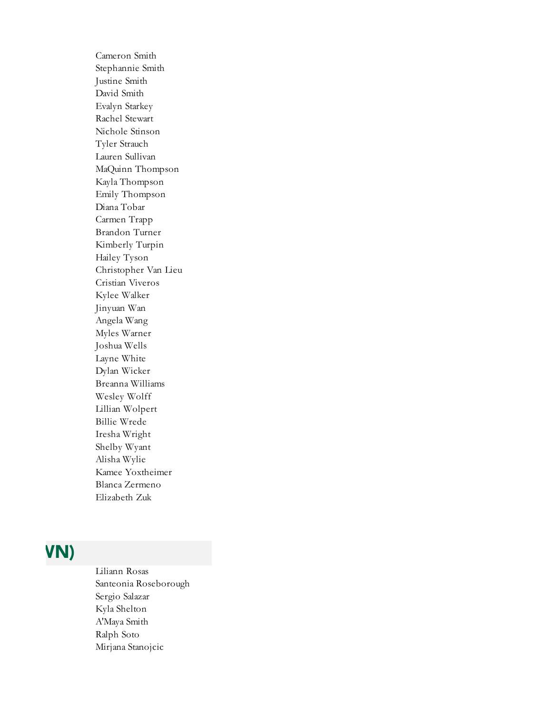Cameron Smith Stephannie Smith Justine Smith David Smith Evalyn Starkey Rachel Stewart Nichole Stinson Tyler Strauch Lauren Sullivan MaQuinn Thompson Kayla Thompson Emily Thompson Diana Tobar Carmen Trapp Brandon Turner Kimberly Turpin Hailey Tyson Christopher Van Lieu Cristian Viveros Kylee Walker Jinyuan Wan Angela Wang Myles Warner Joshua Wells Layne White Dylan Wicker Breanna Williams Wesley Wolff Lillian Wolpert Billie Wrede Iresha Wright Shelby Wyant Alisha Wylie Kamee Yoxtheimer Blanca Zermeno Elizabeth Zuk

#### LACK COUNTY (GARY)

Liliann Rosas Santeonia Roseborough Sergio Salazar Kyla Shelton A'Maya Smith Ralph Soto Mirjana Stanojcic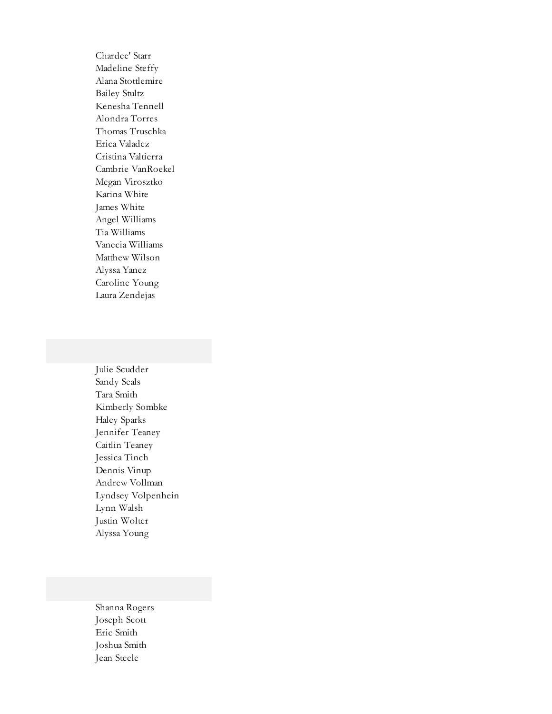Chardee' Starr Madeline Steffy Alana Stottlemire Bailey Stultz Kenesha Tennell Alondra Torres Thomas Truschka Erica Valadez Cristina Valtierra Cambrie VanRoekel Megan Virosztko Karina White James White Angel Williams Tia Williams Vanecia Williams Matthew Wilson Alyssa Yanez Caroline Young Laura Zendejas

Julie Scudder Sandy Seals Tara Smith Kimberly Sombke Haley Sparks Jennifer Teaney Caitlin Teaney Jessica Tinch Dennis Vinup Andrew Vollman Lyndsey Volpenhein Lynn Walsh Justin Wolter Alyssa Young

Shanna Rogers Joseph Scott Eric Smith Joshua Smith Jean Steele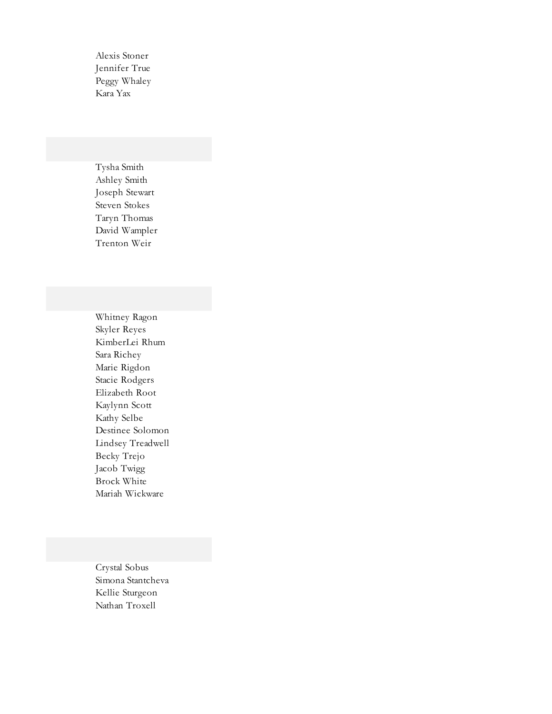Alexis Stoner Jennifer True Peggy Whaley Kara Yax

Tysha Smith Ashley Smith Joseph Stewart Steven Stokes Taryn Thomas David Wampler Trenton Weir

Whitney Ragon Skyler Reyes KimberLei Rhum Sara Richey Marie Rigdon Stacie Rodgers Elizabeth Root Kaylynn Scott Kathy Selbe Destinee Solomon Lindsey Treadwell Becky Trejo Jacob Twigg Brock White Mariah Wickware

Crystal Sobus Simona Stantcheva Kellie Sturgeon Nathan Troxell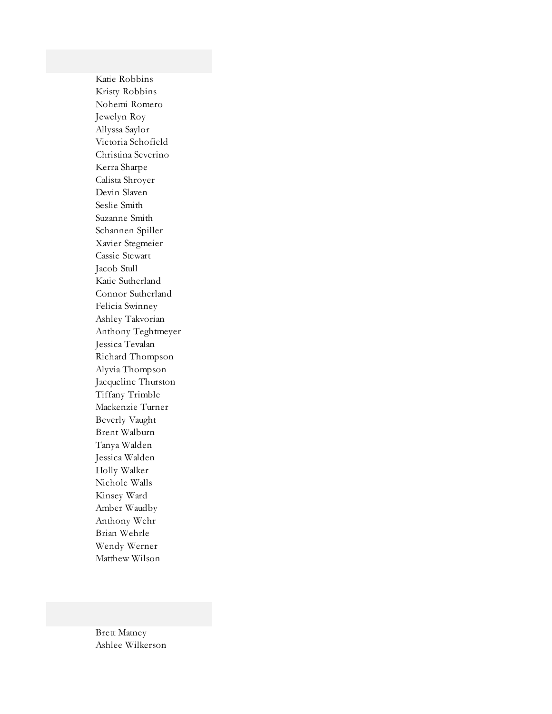Katie Robbins Kristy Robbins Nohemi Romero Jewelyn Roy Allyssa Saylor Victoria Schofield Christina Severino Kerra Sharpe Calista Shroyer Devin Slaven Seslie Smith Suzanne Smith Schannen Spiller Xavier Stegmeier Cassie Stewart Jacob Stull Katie Sutherland Connor Sutherland Felicia Swinney Ashley Takvorian Anthony Teghtmeyer Jessica Tevalan Richard Thompson Alyvia Thompson Jacqueline Thurston Tiffany Trimble Mackenzie Turner Beverly Vaught Brent Walburn Tanya Walden Jessica Walden Holly Walker Nichole Walls Kinsey Ward Amber Waudby Anthony Wehr Brian Wehrle Wendy Werner Matthew Wilson

Brett Matney Ashlee Wilkerson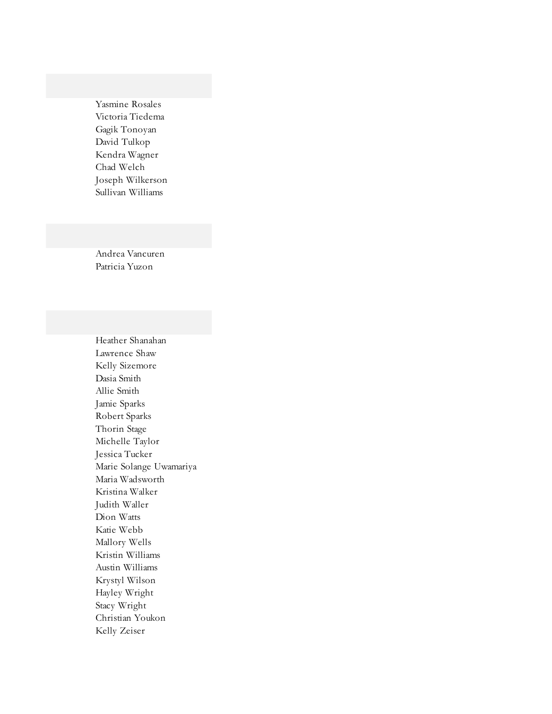Yasmine Rosales Victoria Tiedema Gagik Tonoyan David Tulkop Kendra Wagner Chad Welch Joseph Wilkerson Sullivan Williams

Andrea Vancuren Patricia Yuzon

Heather Shanahan Lawrence Shaw Kelly Sizemore Dasia Smith Allie Smith Jamie Sparks Robert Sparks Thorin Stage Michelle Taylor Jessica Tucker Marie Solange Uwamariya Maria Wadsworth Kristina Walker Judith Waller Dion Watts Katie Webb Mallory Wells Kristin Williams Austin Williams Krystyl Wilson Hayley Wright Stacy Wright Christian Youkon Kelly Zeiser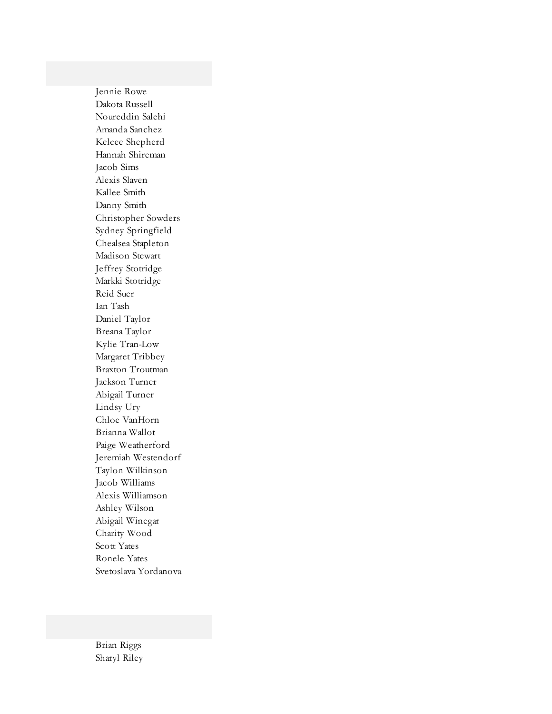Jennie Rowe Dakota Russell Noureddin Salehi Amanda Sanchez Kelcee Shepherd Hannah Shireman Jacob Sims Alexis Slaven Kallee Smith Danny Smith Christopher Sowders Sydney Springfield Chealsea Stapleton Madison Stewart Jeffrey Stotridge Markki Stotridge Reid Suer Ian Tash Daniel Taylor Breana Taylor Kylie Tran-Low Margaret Tribbey Braxton Troutman Jackson Turner Abigail Turner Lindsy Ury Chloe VanHorn Brianna Wallot Paige Weatherford Jeremiah Westendorf Taylon Wilkinson Jacob Williams Alexis Williamson Ashley Wilson Abigail Winegar Charity Wood Scott Yates Ronele Yates Svetoslava Yordanova

Brian Riggs Sharyl Riley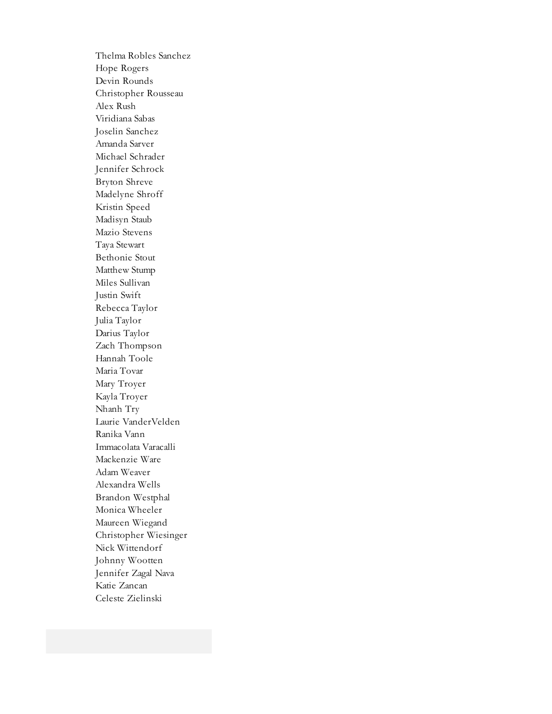Thelma Robles Sanchez Hope Rogers Devin Rounds Christopher Rousseau Alex Rush Viridiana Sabas Joselin Sanchez Amanda Sarver Michael Schrader Jennifer Schrock Bryton Shreve Madelyne Shroff Kristin Speed Madisyn Staub Mazio Stevens Taya Stewart Bethonie Stout Matthew Stump Miles Sullivan Justin Swift Rebecca Taylor Julia Taylor Darius Taylor Zach Thompson Hannah Toole Maria Tovar Mary Troyer Kayla Troyer Nhanh Try Laurie VanderVelden Ranika Vann Immacolata Varacalli Mackenzie Ware Adam Weaver Alexandra Wells Brandon Westphal Monica Wheeler Maureen Wiegand Christopher Wiesinger Nick Wittendorf Johnny Wootten Jennifer Zagal Nava Katie Zancan Celeste Zielinski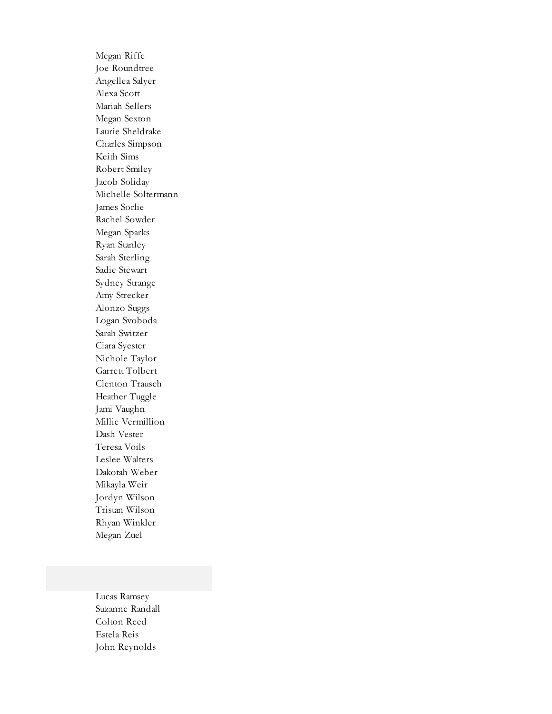Megan Riffe Joe Roundtree Angellea Salyer Alexa Scott Mariah Sellers Megan Sexton Laurie Sheldrake Charles Simpson Keith Sims Robert Smiley Jacob Soliday Michelle Soltermann James Sorlie Rachel Sowder Megan Sparks Ryan Stanley Sarah Sterling Sadie Stewart Sydney Strange Amy Strecker Alonzo Suggs Logan Svoboda Sarah Switzer Ciara Syester Nichole Taylor Garrett Tolbert Clenton Trausch Heather Tuggle Jami Vaughn Millie Vermillion Dash Vester Teresa Voils Leslee Walters Dakotah Weber Mikayla Weir Jordyn Wilson Tristan Wilson Rhyan Winkler Megan Zuel

Lucas Ramsey Suzanne Randall Colton Reed Estela Reis John Reynolds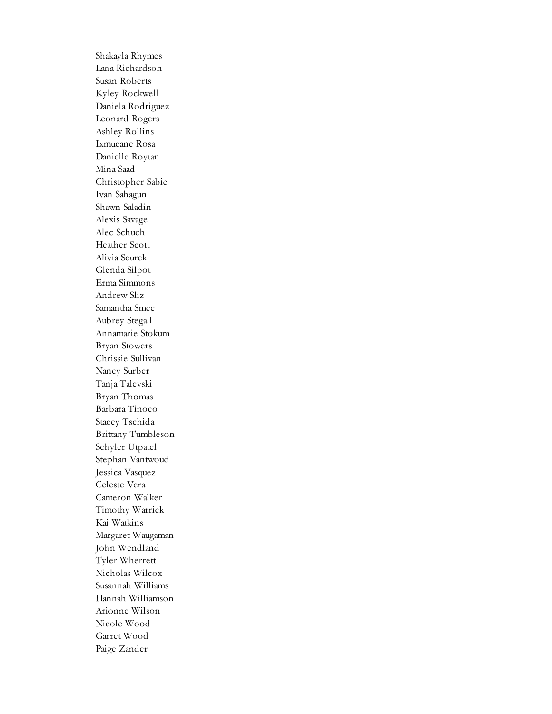Shakayla Rhymes Lana Richardson Susan Roberts Kyley Rockwell Daniela Rodriguez Leonard Rogers Ashley Rollins Ixmucane Rosa Danielle Roytan Mina Saad Christopher Sabie Ivan Sahagun Shawn Saladin Alexis Savage Alec Schuch Heather Scott Alivia Scurek Glenda Silpot Erma Simmons Andrew Sliz Samantha Smee Aubrey Stegall Annamarie Stokum Bryan Stowers Chrissie Sullivan Nancy Surber Tanja Talevski Bryan Thomas Barbara Tinoco Stacey Tschida Brittany Tumbleson Schyler Utpatel Stephan Vantwoud Jessica Vasquez Celeste Vera Cameron Walker Timothy Warrick Kai Watkins Margaret Waugaman John Wendland Tyler Wherrett Nicholas Wilcox Susannah Williams Hannah Williamson Arionne Wilson Nicole Wood Garret Wood Paige Zander